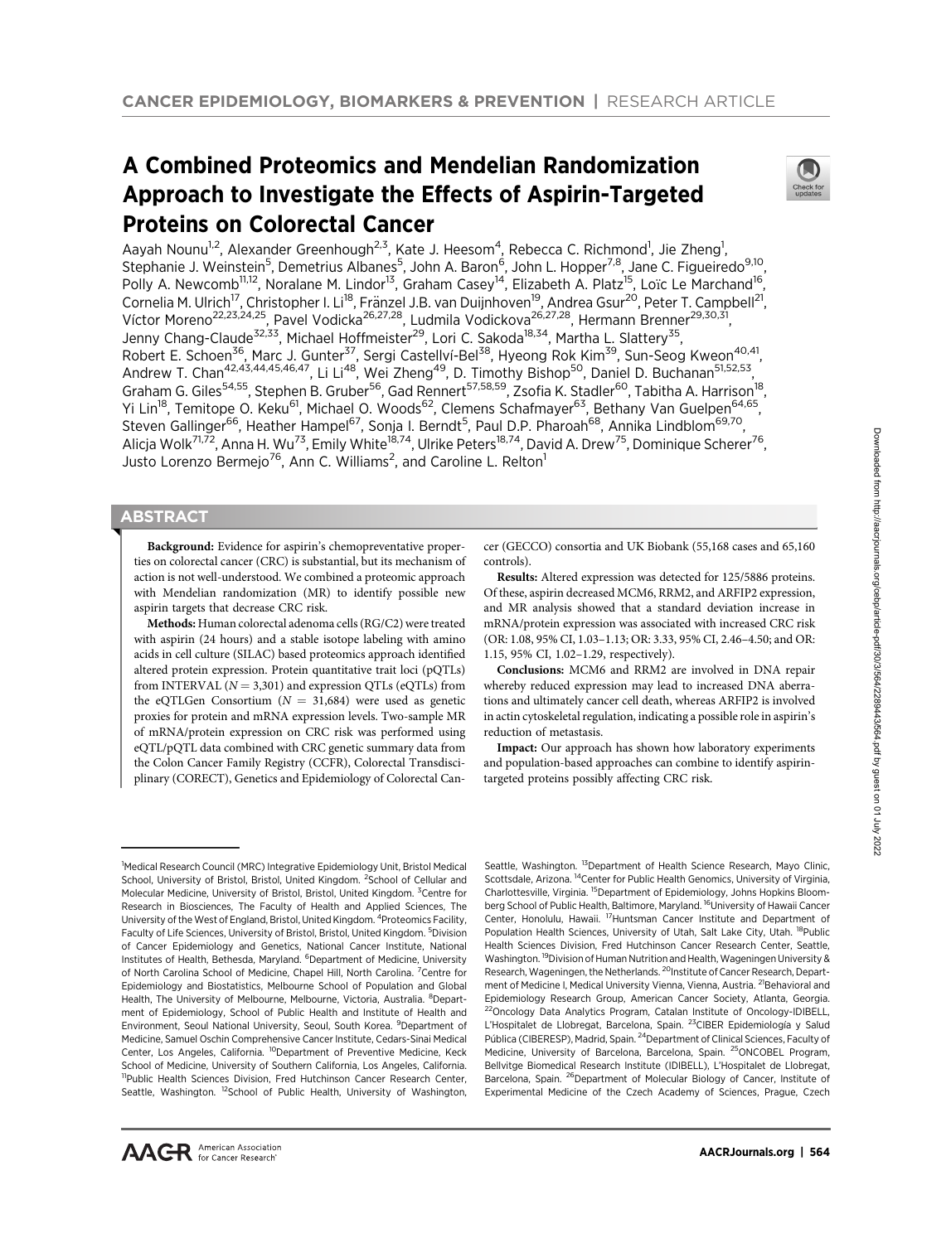# A Combined Proteomics and Mendelian Randomization Approach to Investigate the Effects of Aspirin-Targeted Proteins on Colorectal Cancer



Aayah Nounu<sup>1,2</sup>, Alexander Greenhough<sup>2,3</sup>, Kate J. Heesom<sup>4</sup>, Rebecca C. Richmond<sup>1</sup>, Jie Zheng<sup>1</sup>, Stephanie J. Weinstein<sup>5</sup>, Demetrius Albanes<sup>5</sup>, John A. Baron<sup>6</sup>, John L. Hopper<sup>7,8</sup>, Jane C. Figueiredo<sup>9,10</sup>, Polly A. Newcomb<sup>11,12</sup>, Noralane M. Lindor<sup>13</sup>, Graham Casey<sup>14</sup>, Elizabeth A. Platz<sup>15</sup>, Loïc Le Marchand<sup>16</sup>, Cornelia M. Ulrich<sup>17</sup>, Christopher I. Li<sup>18</sup>, Fränzel J.B. van Duijnhoven<sup>19</sup>, Andrea Gsur<sup>20</sup>, Peter T. Campbell<sup>21</sup>, Víctor Moreno<sup>22,23,24,25</sup>, Pavel Vodicka<sup>26,27,28</sup>, Ludmila Vodickova<sup>26,27,28</sup>, Hermann Brenner<sup>29,30,31</sup>, Jenny Chang-Claude<sup>32,33</sup>, Michael Hoffmeister<sup>29</sup>, Lori C. Sakoda<sup>18,34</sup>, Martha L. Slattery<sup>35</sup>, Robert E. Schoen<sup>36</sup>, Marc J. Gunter<sup>37</sup>, Sergi Castellví-Bel<sup>38</sup>, Hyeong Rok Kim<sup>39</sup>, Sun-Seog Kweon<sup>40,41</sup>, Andrew T. Chan<sup>42,43,44,45,46,47</sup>, Li Li<sup>48</sup>, Wei Zheng<sup>49</sup>, D. Timothy Bishop<sup>50</sup>, Daniel D. Buchanan<sup>51,52,53</sup>, Graham G. Giles<sup>54,55</sup>, Stephen B. Gruber<sup>56</sup>, Gad Rennert<sup>57,58,59</sup>, Zsofia K. Stadler<sup>60</sup>, Tabitha A. Harrison<sup>18</sup>, Yi Lin<sup>18</sup>, Temitope O. Keku<sup>61</sup>, Michael O. Woods<sup>62</sup>, Clemens Schafmayer<sup>63</sup>, Bethany Van Guelpen<sup>64,65</sup>, Steven Gallinger<sup>66</sup>, Heather Hampel<sup>67</sup>, Sonja I. Berndt<sup>5</sup>, Paul D.P. Pharoah<sup>68</sup>, Annika Lindblom<sup>69,70</sup>, Alicja Wolk<sup>71,72</sup>, Anna H. Wu<sup>73</sup>, Emily White<sup>18,74</sup>, Ulrike Peters<sup>18,74</sup>, David A. Drew<sup>75</sup>, Dominique Scherer<sup>76</sup>, Justo Lorenzo Bermejo<sup>76</sup>, Ann C. Williams<sup>2</sup>, and Caroline L. Relton<sup>1</sup>

## **ABSTRACT**

◥

Background: Evidence for aspirin's chemopreventative properties on colorectal cancer (CRC) is substantial, but its mechanism of action is not well-understood. We combined a proteomic approach with Mendelian randomization (MR) to identify possible new aspirin targets that decrease CRC risk.

Methods: Human colorectal adenoma cells (RG/C2) were treated with aspirin (24 hours) and a stable isotope labeling with amino acids in cell culture (SILAC) based proteomics approach identified altered protein expression. Protein quantitative trait loci (pQTLs) from INTERVAL  $(N = 3,301)$  and expression QTLs (eQTLs) from the eQTLGen Consortium ( $N = 31,684$ ) were used as genetic proxies for protein and mRNA expression levels. Two-sample MR of mRNA/protein expression on CRC risk was performed using eQTL/pQTL data combined with CRC genetic summary data from the Colon Cancer Family Registry (CCFR), Colorectal Transdisciplinary (CORECT), Genetics and Epidemiology of Colorectal Can-

cer (GECCO) consortia and UK Biobank (55,168 cases and 65,160 controls).

Results: Altered expression was detected for 125/5886 proteins. Of these, aspirin decreased MCM6, RRM2, and ARFIP2 expression, and MR analysis showed that a standard deviation increase in mRNA/protein expression was associated with increased CRC risk (OR: 1.08, 95% CI, 1.03–1.13; OR: 3.33, 95% CI, 2.46–4.50; and OR: 1.15, 95% CI, 1.02–1.29, respectively).

Conclusions: MCM6 and RRM2 are involved in DNA repair whereby reduced expression may lead to increased DNA aberrations and ultimately cancer cell death, whereas ARFIP2 is involved in actin cytoskeletal regulation, indicating a possible role in aspirin's reduction of metastasis.

Impact: Our approach has shown how laboratory experiments and population-based approaches can combine to identify aspirintargeted proteins possibly affecting CRC risk.

Seattle, Washington. <sup>13</sup>Department of Health Science Research, Mayo Clinic, Scottsdale, Arizona. <sup>14</sup>Center for Public Health Genomics, University of Virginia, Charlottesville, Virginia. <sup>15</sup>Department of Epidemiology, Johns Hopkins Bloomberg School of Public Health, Baltimore, Maryland. <sup>16</sup>University of Hawaii Cancer Center, Honolulu, Hawaii. <sup>17</sup>Huntsman Cancer Institute and Department of Population Health Sciences, University of Utah, Salt Lake City, Utah. <sup>18</sup>Public Health Sciences Division, Fred Hutchinson Cancer Research Center, Seattle, Washington. 19Division of Human Nutrition and Health, Wageningen University & Research, Wageningen, the Netherlands. <sup>20</sup>Institute of Cancer Research, Department of Medicine I, Medical University Vienna, Vienna, Austria. <sup>21</sup>Behavioral and Epidemiology Research Group, American Cancer Society, Atlanta, Georgia. <sup>2</sup>Oncology Data Analytics Program, Catalan Institute of Oncology-IDIBELL, L'Hospitalet de Llobregat, Barcelona, Spain. <sup>23</sup>CIBER Epidemiología y Salud Pública (CIBERESP), Madrid, Spain. <sup>24</sup>Department of Clinical Sciences, Faculty of Medicine, University of Barcelona, Barcelona, Spain. <sup>25</sup>ONCOBEL Program, Bellvitge Biomedical Research Institute (IDIBELL), L'Hospitalet de Llobregat, Barcelona, Spain. <sup>26</sup>Department of Molecular Biology of Cancer, Institute of Experimental Medicine of the Czech Academy of Sciences, Prague, Czech

<sup>&</sup>lt;sup>1</sup>Medical Research Council (MRC) Integrative Epidemiology Unit, Bristol Medical School, University of Bristol, Bristol, United Kingdom. <sup>2</sup>School of Cellular and Molecular Medicine, University of Bristol, Bristol, United Kingdom. <sup>3</sup>Centre for Research in Biosciences, The Faculty of Health and Applied Sciences, The University of the West of England, Bristol, United Kingdom. <sup>4</sup>Proteomics Facility, Faculty of Life Sciences, University of Bristol, Bristol, United Kingdom. <sup>5</sup>Division of Cancer Epidemiology and Genetics, National Cancer Institute, National Institutes of Health, Bethesda, Maryland. <sup>6</sup>Department of Medicine, University of North Carolina School of Medicine, Chapel Hill, North Carolina. <sup>7</sup>Centre for Epidemiology and Biostatistics, Melbourne School of Population and Global Health, The University of Melbourne, Melbourne, Victoria, Australia. <sup>8</sup>Department of Epidemiology, School of Public Health and Institute of Health and Environment, Seoul National University, Seoul, South Korea. <sup>9</sup>Department of Medicine, Samuel Oschin Comprehensive Cancer Institute, Cedars-Sinai Medical Center, Los Angeles, California. <sup>10</sup>Department of Preventive Medicine, Keck School of Medicine, University of Southern California, Los Angeles, California. <sup>11</sup>Public Health Sciences Division, Fred Hutchinson Cancer Research Center, Seattle, Washington. <sup>12</sup>School of Public Health, University of Washington,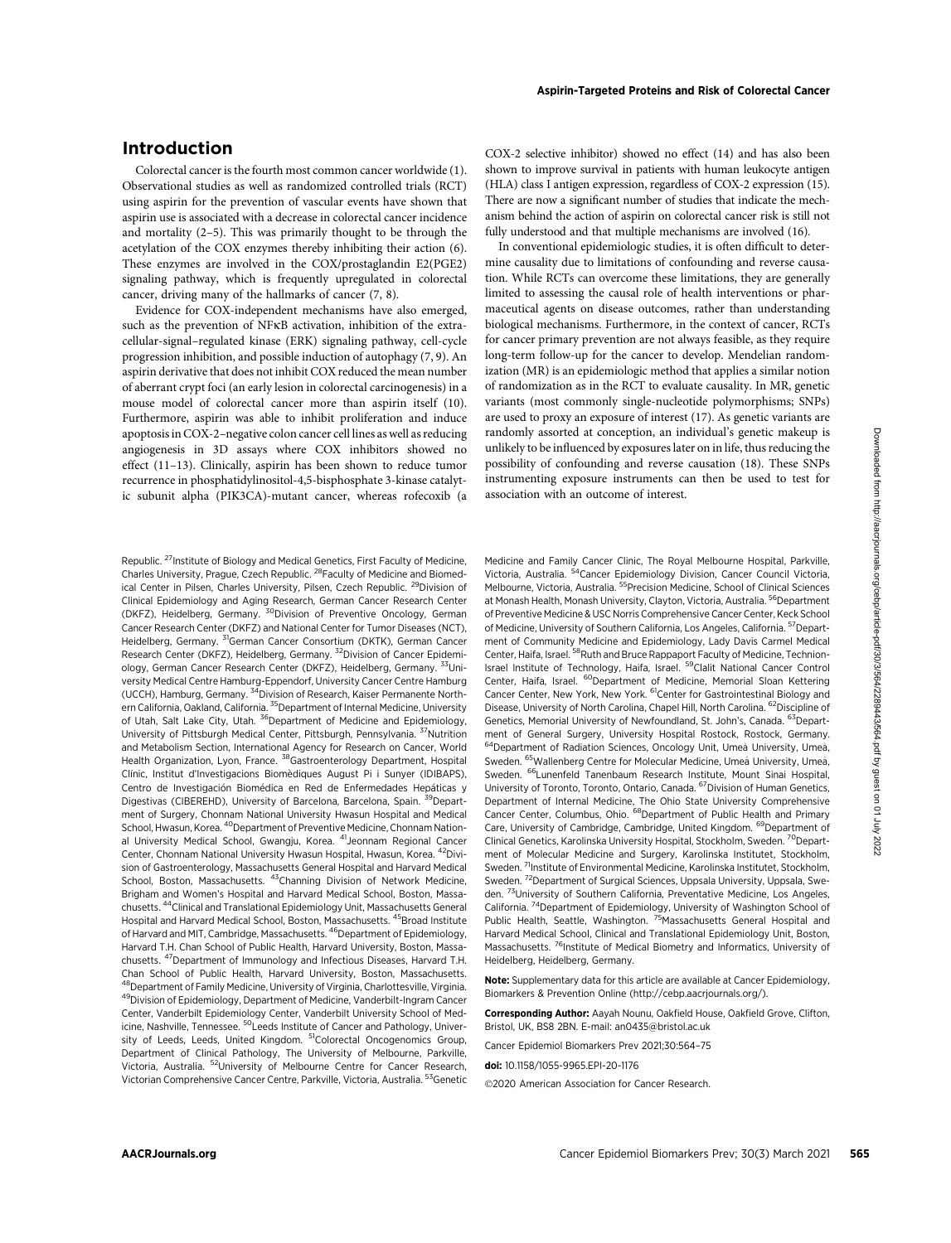# Introduction

Colorectal cancer is the fourth most common cancer worldwide (1). Observational studies as well as randomized controlled trials (RCT) using aspirin for the prevention of vascular events have shown that aspirin use is associated with a decrease in colorectal cancer incidence and mortality (2–5). This was primarily thought to be through the acetylation of the COX enzymes thereby inhibiting their action (6). These enzymes are involved in the COX/prostaglandin E2(PGE2) signaling pathway, which is frequently upregulated in colorectal cancer, driving many of the hallmarks of cancer (7, 8).

Evidence for COX-independent mechanisms have also emerged, such as the prevention of NFkB activation, inhibition of the extracellular-signal–regulated kinase (ERK) signaling pathway, cell-cycle progression inhibition, and possible induction of autophagy (7, 9). An aspirin derivative that does not inhibit COX reduced the mean number of aberrant crypt foci (an early lesion in colorectal carcinogenesis) in a mouse model of colorectal cancer more than aspirin itself (10). Furthermore, aspirin was able to inhibit proliferation and induce apoptosis in COX-2–negative colon cancer cell lines as well as reducing angiogenesis in 3D assays where COX inhibitors showed no effect (11–13). Clinically, aspirin has been shown to reduce tumor recurrence in phosphatidylinositol-4,5-bisphosphate 3-kinase catalytic subunit alpha (PIK3CA)-mutant cancer, whereas rofecoxib (a

Republic. <sup>27</sup>Institute of Biology and Medical Genetics, First Faculty of Medicine, Charles University, Prague, Czech Republic. 28Faculty of Medicine and Biomedical Center in Pilsen, Charles University, Pilsen, Czech Republic. <sup>29</sup>Division of Clinical Epidemiology and Aging Research, German Cancer Research Center (DKFZ), Heidelberg, Germany. 30Division of Preventive Oncology, German Cancer Research Center (DKFZ) and National Center for Tumor Diseases (NCT), Heidelberg, Germany. <sup>31</sup>German Cancer Consortium (DKTK), German Cancer Research Center (DKFZ), Heidelberg, Germany. <sup>32</sup>Division of Cancer Epidemiology, German Cancer Research Center (DKFZ), Heidelberg, Germany. 33University Medical Centre Hamburg-Eppendorf, University Cancer Centre Hamburg (UCCH), Hamburg, Germany. 34Division of Research, Kaiser Permanente Northern California, Oakland, California. <sup>35</sup>Department of Internal Medicine, University of Utah, Salt Lake City, Utah. <sup>36</sup>Department of Medicine and Epidemiology, University of Pittsburgh Medical Center, Pittsburgh, Pennsylvania. 37Nutrition and Metabolism Section, International Agency for Research on Cancer, World Health Organization, Lyon, France. <sup>38</sup>Gastroenterology Department, Hospital Clínic, Institut d'Investigacions Biomediques August Pi i Sunyer (IDIBAPS), Centro de Investigación Biomédica en Red de Enfermedades Hepáticas y Digestivas (CIBEREHD), University of Barcelona, Barcelona, Spain. 39Department of Surgery, Chonnam National University Hwasun Hospital and Medical School, Hwasun, Korea. <sup>40</sup> Department of Preventive Medicine, Chonnam National University Medical School, Gwangju, Korea. <sup>41</sup>Jeonnam Regional Cancer Center, Chonnam National University Hwasun Hospital, Hwasun, Korea. 42Division of Gastroenterology, Massachusetts General Hospital and Harvard Medical School, Boston, Massachusetts. <sup>43</sup>Channing Division of Network Medicine, Brigham and Women's Hospital and Harvard Medical School, Boston, Massachusetts. 44Clinical and Translational Epidemiology Unit, Massachusetts General Hospital and Harvard Medical School, Boston, Massachusetts. <sup>45</sup>Broad Institute of Harvard and MIT, Cambridge, Massachusetts. 46Department of Epidemiology, Harvard T.H. Chan School of Public Health, Harvard University, Boston, Massachusetts. 47Department of Immunology and Infectious Diseases, Harvard T.H. Chan School of Public Health, Harvard University, Boston, Massachusetts.  $^3$ Department of Family Medicine, University of Virginia, Charlottesville, Virginia. 49Division of Epidemiology, Department of Medicine, Vanderbilt-Ingram Cancer Center, Vanderbilt Epidemiology Center, Vanderbilt University School of Medicine, Nashville, Tennessee. <sup>50</sup>Leeds Institute of Cancer and Pathology, University of Leeds, Leeds, United Kingdom. <sup>51</sup>Colorectal Oncogenomics Group, Department of Clinical Pathology, The University of Melbourne, Parkville, Victoria, Australia. 52University of Melbourne Centre for Cancer Research, Victorian Comprehensive Cancer Centre, Parkville, Victoria, Australia. 53Genetic COX-2 selective inhibitor) showed no effect (14) and has also been shown to improve survival in patients with human leukocyte antigen (HLA) class I antigen expression, regardless of COX-2 expression (15). There are now a significant number of studies that indicate the mechanism behind the action of aspirin on colorectal cancer risk is still not fully understood and that multiple mechanisms are involved (16).

In conventional epidemiologic studies, it is often difficult to determine causality due to limitations of confounding and reverse causation. While RCTs can overcome these limitations, they are generally limited to assessing the causal role of health interventions or pharmaceutical agents on disease outcomes, rather than understanding biological mechanisms. Furthermore, in the context of cancer, RCTs for cancer primary prevention are not always feasible, as they require long-term follow-up for the cancer to develop. Mendelian randomization (MR) is an epidemiologic method that applies a similar notion of randomization as in the RCT to evaluate causality. In MR, genetic variants (most commonly single-nucleotide polymorphisms; SNPs) are used to proxy an exposure of interest (17). As genetic variants are randomly assorted at conception, an individual's genetic makeup is unlikely to be influenced by exposures later on in life, thus reducing the possibility of confounding and reverse causation (18). These SNPs instrumenting exposure instruments can then be used to test for association with an outcome of interest.

Medicine and Family Cancer Clinic, The Royal Melbourne Hospital, Parkville, Victoria, Australia. 54Cancer Epidemiology Division, Cancer Council Victoria, Melbourne, Victoria, Australia. <sup>55</sup> Precision Medicine, School of Clinical Sciences at Monash Health, Monash University, Clayton, Victoria, Australia. <sup>56</sup>Department of Preventive Medicine & USC Norris Comprehensive Cancer Center, Keck School of Medicine, University of Southern California, Los Angeles, California. <sup>57</sup>Department of Community Medicine and Epidemiology, Lady Davis Carmel Medical Center, Haifa, Israel. <sup>58</sup>Ruth and Bruce Rappaport Faculty of Medicine, Technion-Israel Institute of Technology, Haifa, Israel. 59Clalit National Cancer Control Center, Haifa, Israel. <sup>60</sup>Department of Medicine, Memorial Sloan Kettering Cancer Center, New York, New York. <sup>61</sup>Center for Gastrointestinal Biology and Disease, University of North Carolina, Chapel Hill, North Carolina. <sup>62</sup>Discipline of Genetics, Memorial University of Newfoundland, St. John's, Canada. 63Department of General Surgery, University Hospital Rostock, Rostock, Germany. 64 Department of Radiation Sciences, Oncology Unit, Umeå University, Umeå, Sweden. <sup>65</sup>Wallenberg Centre for Molecular Medicine, Umeå University, Umeå, Sweden. <sup>66</sup>Lunenfeld Tanenbaum Research Institute, Mount Sinai Hospital, University of Toronto, Toronto, Ontario, Canada. 67Division of Human Genetics, Department of Internal Medicine, The Ohio State University Comprehensive Cancer Center, Columbus, Ohio. 68Department of Public Health and Primary Care, University of Cambridge, Cambridge, United Kingdom. <sup>69</sup>Department of Clinical Genetics, Karolinska University Hospital, Stockholm, Sweden. <sup>70</sup>Department of Molecular Medicine and Surgery, Karolinska Institutet, Stockholm, Sweden. <sup>71</sup>Institute of Environmental Medicine, Karolinska Institutet, Stockholm, Sweden. <sup>72</sup>Department of Surgical Sciences, Uppsala University, Uppsala, Sweden. 73University of Southern California, Preventative Medicine, Los Angeles, California. 74Department of Epidemiology, University of Washington School of Public Health, Seattle, Washington. <sup>75</sup>Massachusetts General Hospital and Harvard Medical School, Clinical and Translational Epidemiology Unit, Boston, Massachusetts. <sup>76</sup>Institute of Medical Biometry and Informatics, University of Heidelberg, Heidelberg, Germany.

Note: Supplementary data for this article are available at Cancer Epidemiology, Biomarkers & Prevention Online (http://cebp.aacrjournals.org/).

Corresponding Author: Aayah Nounu, Oakfield House, Oakfield Grove, Clifton, Bristol, UK, BS8 2BN. E-mail: an0435@bristol.ac.uk

Cancer Epidemiol Biomarkers Prev 2021;30:564–75

doi: 10.1158/1055-9965.EPI-20-1176

©2020 American Association for Cancer Research.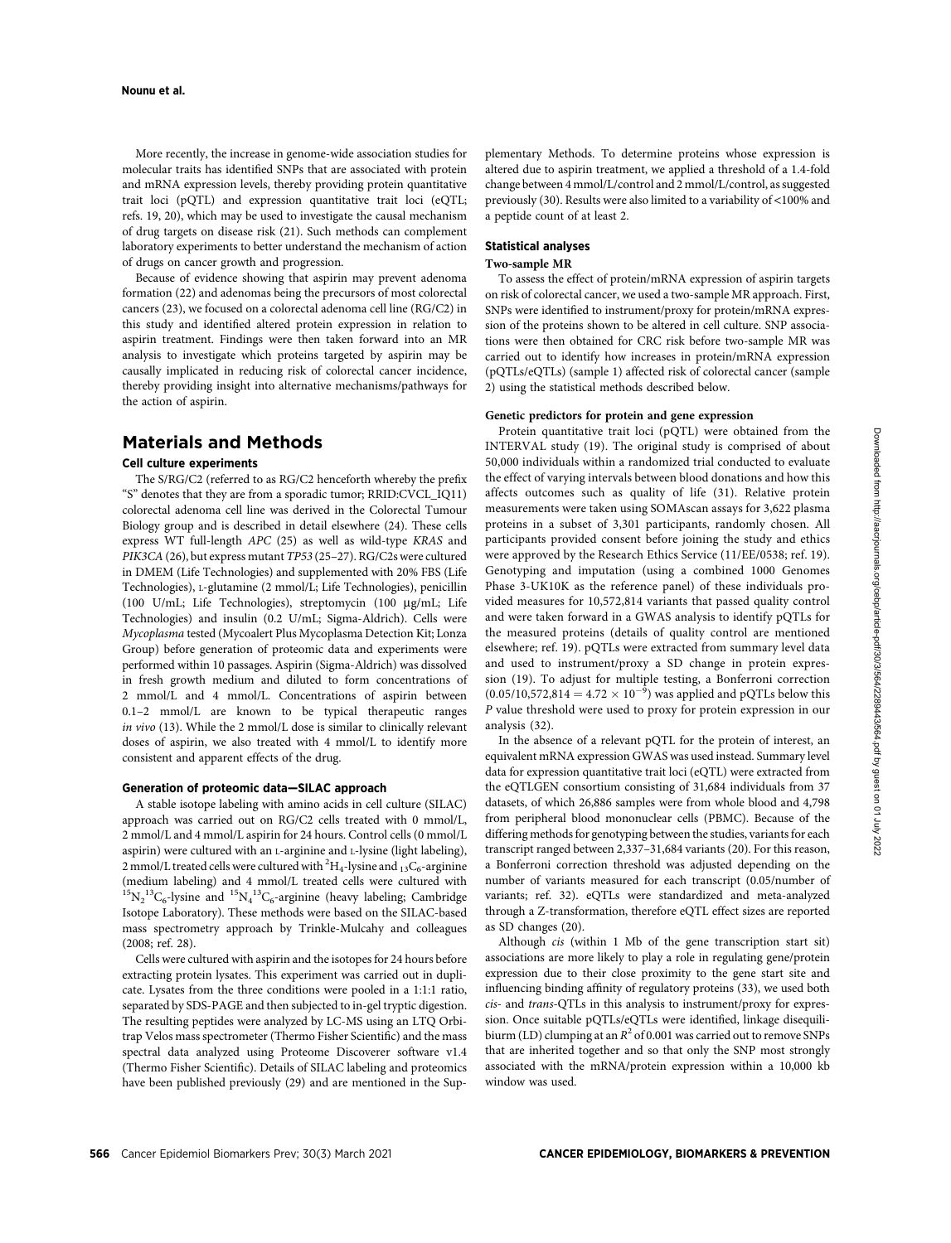More recently, the increase in genome-wide association studies for molecular traits has identified SNPs that are associated with protein and mRNA expression levels, thereby providing protein quantitative trait loci (pQTL) and expression quantitative trait loci (eQTL; refs. 19, 20), which may be used to investigate the causal mechanism of drug targets on disease risk (21). Such methods can complement laboratory experiments to better understand the mechanism of action of drugs on cancer growth and progression.

Because of evidence showing that aspirin may prevent adenoma formation (22) and adenomas being the precursors of most colorectal cancers (23), we focused on a colorectal adenoma cell line (RG/C2) in this study and identified altered protein expression in relation to aspirin treatment. Findings were then taken forward into an MR analysis to investigate which proteins targeted by aspirin may be causally implicated in reducing risk of colorectal cancer incidence, thereby providing insight into alternative mechanisms/pathways for the action of aspirin.

## Materials and Methods

## Cell culture experiments

The S/RG/C2 (referred to as RG/C2 henceforth whereby the prefix "S" denotes that they are from a sporadic tumor; RRID:CVCL\_IQ11) colorectal adenoma cell line was derived in the Colorectal Tumour Biology group and is described in detail elsewhere (24). These cells express WT full-length APC (25) as well as wild-type KRAS and PIK3CA(26), but express mutant TP53 (25–27). RG/C2s were cultured in DMEM (Life Technologies) and supplemented with 20% FBS (Life Technologies), L-glutamine (2 mmol/L; Life Technologies), penicillin (100 U/mL; Life Technologies), streptomycin (100 mg/mL; Life Technologies) and insulin (0.2 U/mL; Sigma-Aldrich). Cells were Mycoplasma tested (Mycoalert Plus Mycoplasma Detection Kit; Lonza Group) before generation of proteomic data and experiments were performed within 10 passages. Aspirin (Sigma-Aldrich) was dissolved in fresh growth medium and diluted to form concentrations of 2 mmol/L and 4 mmol/L. Concentrations of aspirin between 0.1–2 mmol/L are known to be typical therapeutic ranges in vivo (13). While the 2 mmol/L dose is similar to clinically relevant doses of aspirin, we also treated with 4 mmol/L to identify more consistent and apparent effects of the drug.

## Generation of proteomic data—SILAC approach

A stable isotope labeling with amino acids in cell culture (SILAC) approach was carried out on RG/C2 cells treated with 0 mmol/L, 2 mmol/L and 4 mmol/L aspirin for 24 hours. Control cells (0 mmol/L aspirin) were cultured with an L-arginine and L-lysine (light labeling), 2 mmol/L treated cells were cultured with  $^{2}H_{4}$ -lysine and  $_{13}C_{6}$ -arginine (medium labeling) and 4 mmol/L treated cells were cultured with  ${}^{15}N_2{}^{13}C_6$ -lysine and  ${}^{15}N_4{}^{13}C_6$ -arginine (heavy labeling; Cambridge Isotope Laboratory). These methods were based on the SILAC-based mass spectrometry approach by Trinkle-Mulcahy and colleagues (2008; ref. 28).

Cells were cultured with aspirin and the isotopes for 24 hours before extracting protein lysates. This experiment was carried out in duplicate. Lysates from the three conditions were pooled in a 1:1:1 ratio, separated by SDS-PAGE and then subjected to in-gel tryptic digestion. The resulting peptides were analyzed by LC-MS using an LTQ Orbitrap Velos mass spectrometer (Thermo Fisher Scientific) and the mass spectral data analyzed using Proteome Discoverer software v1.4 (Thermo Fisher Scientific). Details of SILAC labeling and proteomics have been published previously (29) and are mentioned in the Supplementary Methods. To determine proteins whose expression is altered due to aspirin treatment, we applied a threshold of a 1.4-fold change between 4 mmol/L/control and 2 mmol/L/control, as suggested previously (30). Results were also limited to a variability of <100% and a peptide count of at least 2.

## Statistical analyses

#### Two-sample MR

To assess the effect of protein/mRNA expression of aspirin targets on risk of colorectal cancer, we used a two-sample MR approach. First, SNPs were identified to instrument/proxy for protein/mRNA expression of the proteins shown to be altered in cell culture. SNP associations were then obtained for CRC risk before two-sample MR was carried out to identify how increases in protein/mRNA expression (pQTLs/eQTLs) (sample 1) affected risk of colorectal cancer (sample 2) using the statistical methods described below.

## Genetic predictors for protein and gene expression

Protein quantitative trait loci (pQTL) were obtained from the INTERVAL study (19). The original study is comprised of about 50,000 individuals within a randomized trial conducted to evaluate the effect of varying intervals between blood donations and how this affects outcomes such as quality of life (31). Relative protein measurements were taken using SOMAscan assays for 3,622 plasma proteins in a subset of 3,301 participants, randomly chosen. All participants provided consent before joining the study and ethics were approved by the Research Ethics Service (11/EE/0538; ref. 19). Genotyping and imputation (using a combined 1000 Genomes Phase 3-UK10K as the reference panel) of these individuals provided measures for 10,572,814 variants that passed quality control and were taken forward in a GWAS analysis to identify pQTLs for the measured proteins (details of quality control are mentioned elsewhere; ref. 19). pQTLs were extracted from summary level data and used to instrument/proxy a SD change in protein expression (19). To adjust for multiple testing, a Bonferroni correction  $(0.05/10,572,814 = 4.72 \times 10^{-9})$  was applied and pQTLs below this P value threshold were used to proxy for protein expression in our analysis (32).

In the absence of a relevant pQTL for the protein of interest, an equivalent mRNA expression GWAS was used instead. Summary level data for expression quantitative trait loci (eQTL) were extracted from the eQTLGEN consortium consisting of 31,684 individuals from 37 datasets, of which 26,886 samples were from whole blood and 4,798 from peripheral blood mononuclear cells (PBMC). Because of the differing methods for genotyping between the studies, variants for each transcript ranged between 2,337–31,684 variants (20). For this reason, a Bonferroni correction threshold was adjusted depending on the number of variants measured for each transcript (0.05/number of variants; ref. 32). eQTLs were standardized and meta-analyzed through a Z-transformation, therefore eQTL effect sizes are reported as SD changes (20).

Although cis (within 1 Mb of the gene transcription start sit) associations are more likely to play a role in regulating gene/protein expression due to their close proximity to the gene start site and influencing binding affinity of regulatory proteins (33), we used both cis- and trans-QTLs in this analysis to instrument/proxy for expression. Once suitable pQTLs/eQTLs were identified, linkage disequilibiurm (LD) clumping at an  $R^2$  of 0.001 was carried out to remove SNPs that are inherited together and so that only the SNP most strongly associated with the mRNA/protein expression within a 10,000 kb window was used.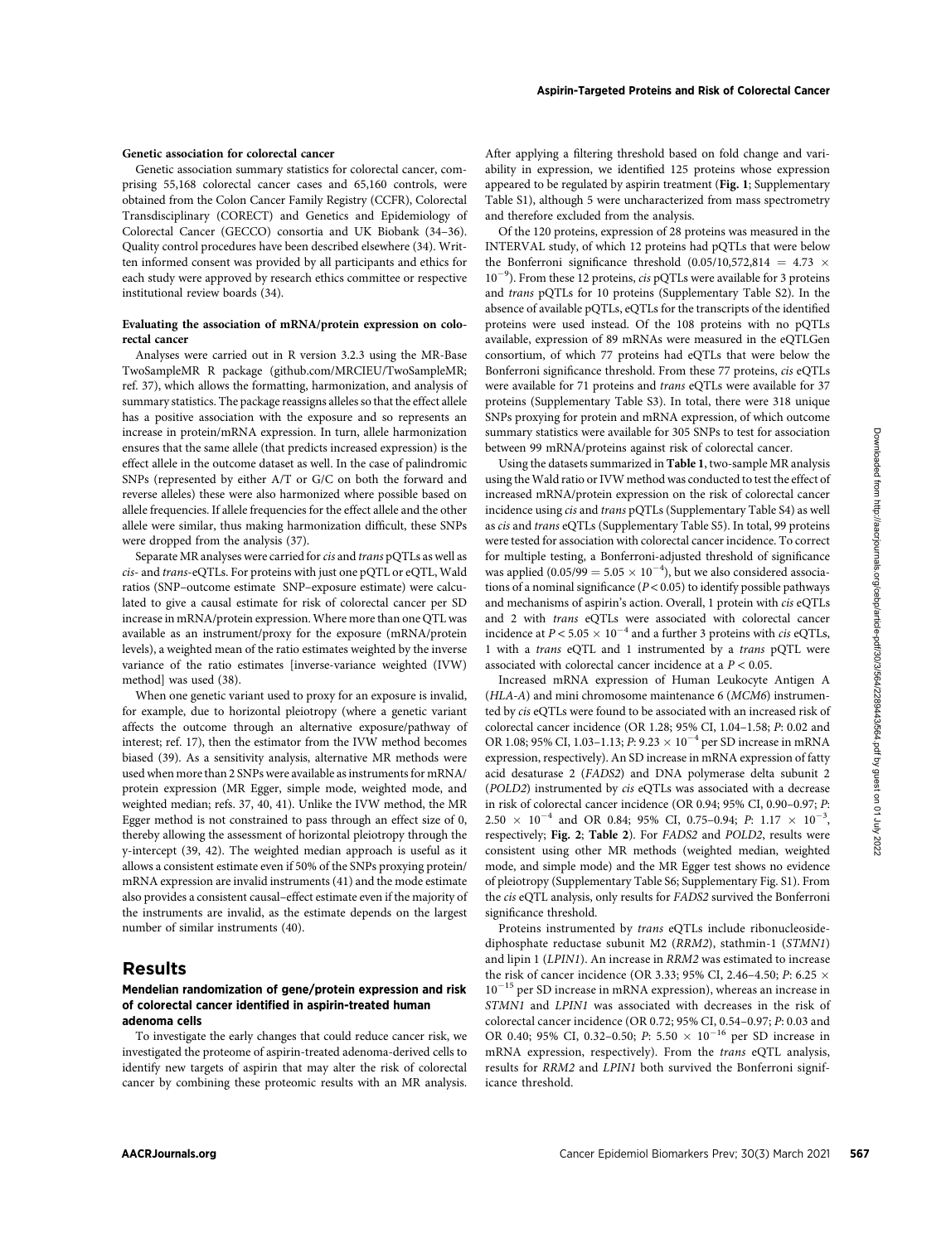## Genetic association for colorectal cancer

Genetic association summary statistics for colorectal cancer, comprising 55,168 colorectal cancer cases and 65,160 controls, were obtained from the Colon Cancer Family Registry (CCFR), Colorectal Transdisciplinary (CORECT) and Genetics and Epidemiology of Colorectal Cancer (GECCO) consortia and UK Biobank (34–36). Quality control procedures have been described elsewhere (34). Written informed consent was provided by all participants and ethics for each study were approved by research ethics committee or respective institutional review boards (34).

## Evaluating the association of mRNA/protein expression on colorectal cancer

Analyses were carried out in R version 3.2.3 using the MR-Base TwoSampleMR R package (github.com/MRCIEU/TwoSampleMR; ref. 37), which allows the formatting, harmonization, and analysis of summary statistics. The package reassigns alleles so that the effect allele has a positive association with the exposure and so represents an increase in protein/mRNA expression. In turn, allele harmonization ensures that the same allele (that predicts increased expression) is the effect allele in the outcome dataset as well. In the case of palindromic SNPs (represented by either A/T or G/C on both the forward and reverse alleles) these were also harmonized where possible based on allele frequencies. If allele frequencies for the effect allele and the other allele were similar, thus making harmonization difficult, these SNPs were dropped from the analysis (37).

Separate MR analyses were carried for *cis* and *trans* pQTLs as well as cis- and trans-eQTLs. For proteins with just one pQTL or eQTL, Wald ratios (SNP–outcome estimate SNP–exposure estimate) were calculated to give a causal estimate for risk of colorectal cancer per SD increase in mRNA/protein expression. Where more than one QTL was available as an instrument/proxy for the exposure (mRNA/protein levels), a weighted mean of the ratio estimates weighted by the inverse variance of the ratio estimates [inverse-variance weighted (IVW) method] was used (38).

When one genetic variant used to proxy for an exposure is invalid, for example, due to horizontal pleiotropy (where a genetic variant affects the outcome through an alternative exposure/pathway of interest; ref. 17), then the estimator from the IVW method becomes biased (39). As a sensitivity analysis, alternative MR methods were used when more than 2 SNPs were available as instruments for mRNA/ protein expression (MR Egger, simple mode, weighted mode, and weighted median; refs. 37, 40, 41). Unlike the IVW method, the MR Egger method is not constrained to pass through an effect size of 0, thereby allowing the assessment of horizontal pleiotropy through the y-intercept (39, 42). The weighted median approach is useful as it allows a consistent estimate even if 50% of the SNPs proxying protein/ mRNA expression are invalid instruments (41) and the mode estimate also provides a consistent causal–effect estimate even if the majority of the instruments are invalid, as the estimate depends on the largest number of similar instruments (40).

## Results

## Mendelian randomization of gene/protein expression and risk of colorectal cancer identified in aspirin-treated human adenoma cells

To investigate the early changes that could reduce cancer risk, we investigated the proteome of aspirin-treated adenoma-derived cells to identify new targets of aspirin that may alter the risk of colorectal cancer by combining these proteomic results with an MR analysis. After applying a filtering threshold based on fold change and variability in expression, we identified 125 proteins whose expression appeared to be regulated by aspirin treatment (Fig. 1; Supplementary Table S1), although 5 were uncharacterized from mass spectrometry and therefore excluded from the analysis.

Of the 120 proteins, expression of 28 proteins was measured in the INTERVAL study, of which 12 proteins had pQTLs that were below the Bonferroni significance threshold  $(0.05/10,572,814 = 4.73 \times$  $10^{-9}$ ). From these 12 proteins, *cis* pQTLs were available for 3 proteins and trans pQTLs for 10 proteins (Supplementary Table S2). In the absence of available pQTLs, eQTLs for the transcripts of the identified proteins were used instead. Of the 108 proteins with no pQTLs available, expression of 89 mRNAs were measured in the eQTLGen consortium, of which 77 proteins had eQTLs that were below the Bonferroni significance threshold. From these 77 proteins, cis eQTLs were available for 71 proteins and trans eQTLs were available for 37 proteins (Supplementary Table S3). In total, there were 318 unique SNPs proxying for protein and mRNA expression, of which outcome summary statistics were available for 305 SNPs to test for association between 99 mRNA/proteins against risk of colorectal cancer.

Using the datasets summarized in Table 1, two-sample MR analysis using the Wald ratio or IVW method was conducted to test the effect of increased mRNA/protein expression on the risk of colorectal cancer incidence using cis and trans pQTLs (Supplementary Table S4) as well as cis and trans eQTLs (Supplementary Table S5). In total, 99 proteins were tested for association with colorectal cancer incidence. To correct for multiple testing, a Bonferroni-adjusted threshold of significance was applied (0.05/99 =  $5.05 \times 10^{-4}$ ), but we also considered associations of a nominal significance ( $P < 0.05$ ) to identify possible pathways and mechanisms of aspirin's action. Overall, 1 protein with cis eQTLs and 2 with trans eQTLs were associated with colorectal cancer incidence at  $P < 5.05 \times 10^{-4}$  and a further 3 proteins with *cis* eQTLs, 1 with a trans eQTL and 1 instrumented by a trans pQTL were associated with colorectal cancer incidence at a  $P < 0.05$ .

Increased mRNA expression of Human Leukocyte Antigen A (HLA-A) and mini chromosome maintenance 6 (MCM6) instrumented by cis eQTLs were found to be associated with an increased risk of colorectal cancer incidence (OR 1.28; 95% CI, 1.04–1.58; P: 0.02 and OR 1.08; 95% CI, 1.03–1.13; P: 9.23  $\times$  10<sup>-4</sup> per SD increase in mRNA expression, respectively). An SD increase in mRNA expression of fatty acid desaturase 2 (FADS2) and DNA polymerase delta subunit 2 (POLD2) instrumented by cis eQTLs was associated with a decrease in risk of colorectal cancer incidence (OR 0.94; 95% CI, 0.90–0.97; P:  $2.50 \times 10^{-4}$  and OR 0.84; 95% CI, 0.75-0.94; P: 1.17  $\times$  10<sup>-3</sup>, respectively; Fig. 2; Table 2). For FADS2 and POLD2, results were consistent using other MR methods (weighted median, weighted mode, and simple mode) and the MR Egger test shows no evidence of pleiotropy (Supplementary Table S6; Supplementary Fig. S1). From the cis eQTL analysis, only results for FADS2 survived the Bonferroni significance threshold.

Proteins instrumented by trans eQTLs include ribonucleosidediphosphate reductase subunit M2 (RRM2), stathmin-1 (STMN1) and lipin 1 (LPIN1). An increase in RRM2 was estimated to increase the risk of cancer incidence (OR 3.33; 95% CI, 2.46–4.50; P: 6.25  $\times$  $10^{-15}$  per SD increase in mRNA expression), whereas an increase in STMN1 and LPIN1 was associated with decreases in the risk of colorectal cancer incidence (OR 0.72; 95% CI, 0.54–0.97; P: 0.03 and OR 0.40; 95% CI, 0.32-0.50; P: 5.50  $\times$  10<sup>-16</sup> per SD increase in mRNA expression, respectively). From the trans eQTL analysis, results for RRM2 and LPIN1 both survived the Bonferroni significance threshold.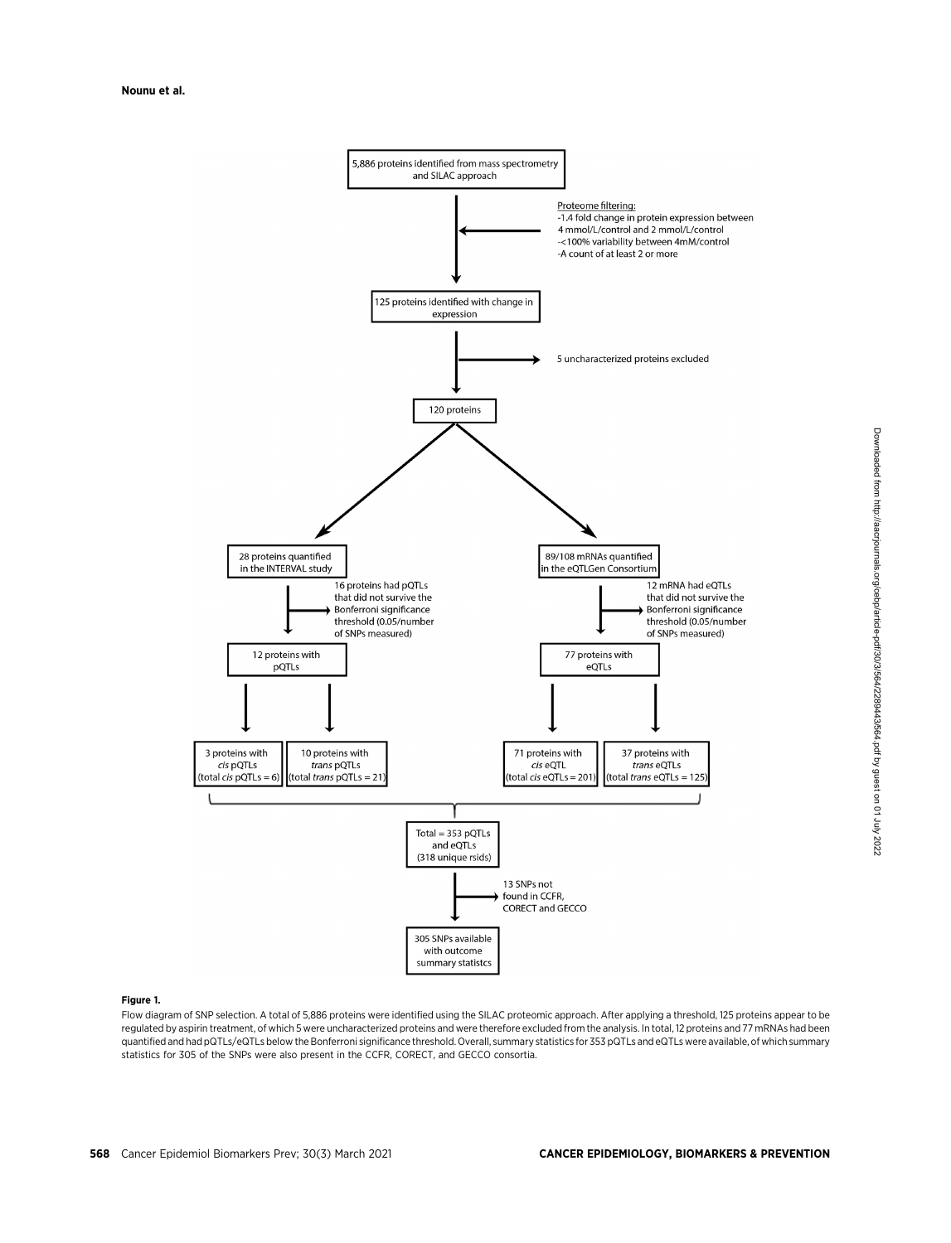

## Figure 1.

Flow diagram of SNP selection. A total of 5,886 proteins were identified using the SILAC proteomic approach. After applying a threshold, 125 proteins appear to be regulated by aspirin treatment, of which 5 were uncharacterized proteins and were therefore excluded from the analysis. In total, 12 proteins and 77 mRNAs had been quantified and had pQTLs/eQTLs below the Bonferroni significance threshold. Overall, summary statistics for 353 pQTLs and eQTLs were available, of which summary statistics for 305 of the SNPs were also present in the CCFR, CORECT, and GECCO consortia.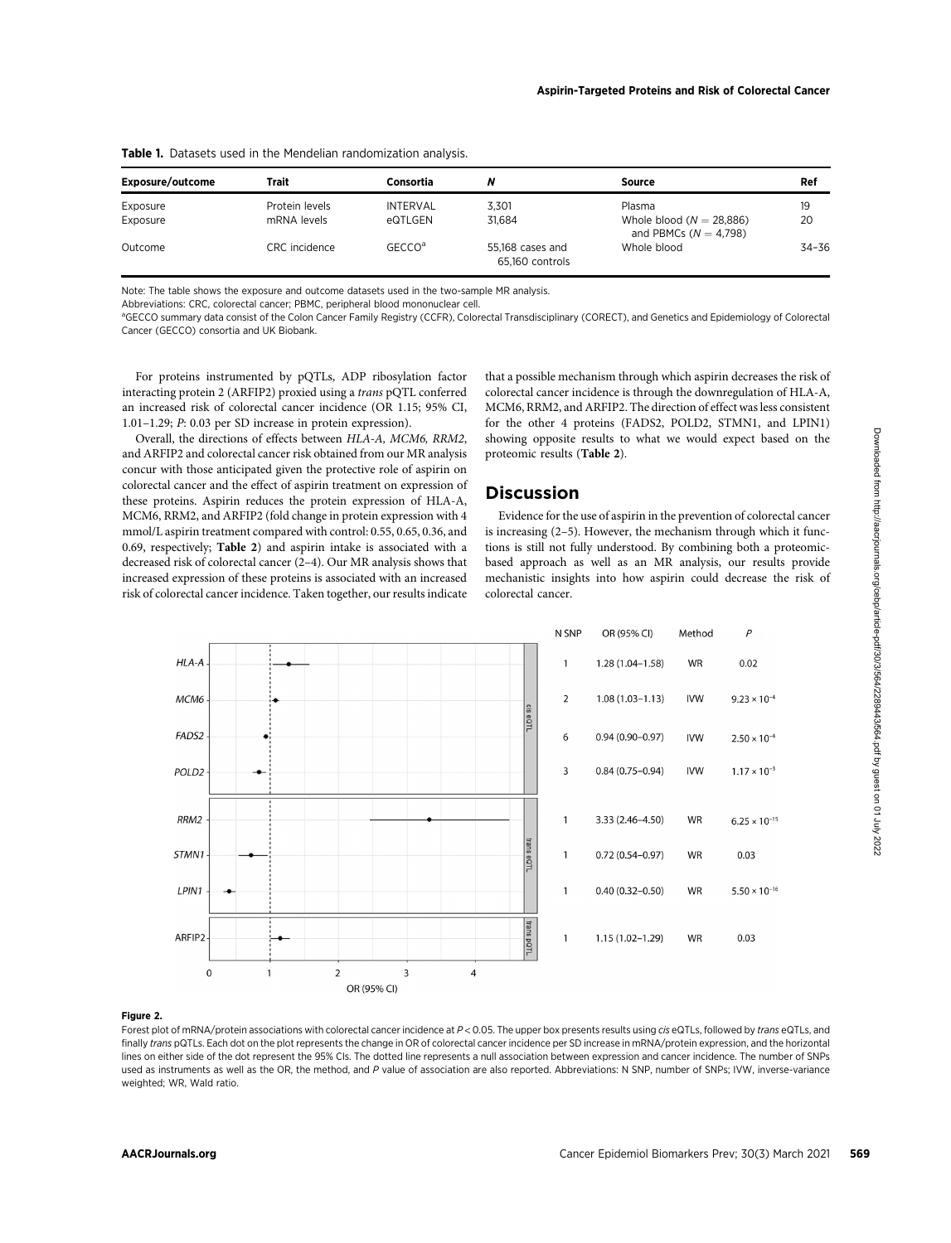| Exposure/outcome | Trait          | Consortia          | N                                   | Source                                                  | Ref   |  |
|------------------|----------------|--------------------|-------------------------------------|---------------------------------------------------------|-------|--|
| Exposure         | Protein levels | INTERVAL           | 3.301                               | Plasma                                                  | 19    |  |
| Exposure         | mRNA levels    | eQTLGEN            | 31.684                              | Whole blood ( $N = 28,886$ )<br>and PBMCs $(N = 4,798)$ | 20    |  |
| Outcome          | CRC incidence  | GECCO <sup>a</sup> | 55,168 cases and<br>65.160 controls | Whole blood                                             | 34-36 |  |

Table 1. Datasets used in the Mendelian randomization analysis.

Note: The table shows the exposure and outcome datasets used in the two-sample MR analysis.

Abbreviations: CRC, colorectal cancer; PBMC, peripheral blood mononuclear cell.

aGECCO summary data consist of the Colon Cancer Family Registry (CCFR), Colorectal Transdisciplinary (CORECT), and Genetics and Epidemiology of Colorectal Cancer (GECCO) consortia and UK Biobank.

For proteins instrumented by pQTLs, ADP ribosylation factor interacting protein 2 (ARFIP2) proxied using a trans pQTL conferred an increased risk of colorectal cancer incidence (OR 1.15; 95% CI, 1.01–1.29; P: 0.03 per SD increase in protein expression).

Overall, the directions of effects between HLA-A, MCM6, RRM2, and ARFIP2 and colorectal cancer risk obtained from our MR analysis concur with those anticipated given the protective role of aspirin on colorectal cancer and the effect of aspirin treatment on expression of these proteins. Aspirin reduces the protein expression of HLA-A, MCM6, RRM2, and ARFIP2 (fold change in protein expression with 4 mmol/L aspirin treatment compared with control: 0.55, 0.65, 0.36, and 0.69, respectively; Table 2) and aspirin intake is associated with a decreased risk of colorectal cancer (2–4). Our MR analysis shows that increased expression of these proteins is associated with an increased risk of colorectal cancer incidence. Taken together, our results indicate that a possible mechanism through which aspirin decreases the risk of colorectal cancer incidence is through the downregulation of HLA-A, MCM6, RRM2, and ARFIP2. The direction of effect was less consistent for the other 4 proteins (FADS2, POLD2, STMN1, and LPIN1) showing opposite results to what we would expect based on the proteomic results (Table 2).

# **Discussion**

Evidence for the use of aspirin in the prevention of colorectal cancer is increasing (2–5). However, the mechanism through which it functions is still not fully understood. By combining both a proteomicbased approach as well as an MR analysis, our results provide mechanistic insights into how aspirin could decrease the risk of colorectal cancer.



## Figure 2.

Forest plot of mRNA/protein associations with colorectal cancer incidence at P < 0.05. The upper box presents results using cis eQTLs, followed by trans eQTLs, and finally trans pQTLs. Each dot on the plot represents the change in OR of colorectal cancer incidence per SD increase in mRNA/protein expression, and the horizontal lines on either side of the dot represent the 95% CIs. The dotted line represents a null association between expression and cancer incidence. The number of SNPs used as instruments as well as the OR, the method, and P value of association are also reported. Abbreviations: N SNP, number of SNPs; IVW, inverse-variance weighted; WR, Wald ratio.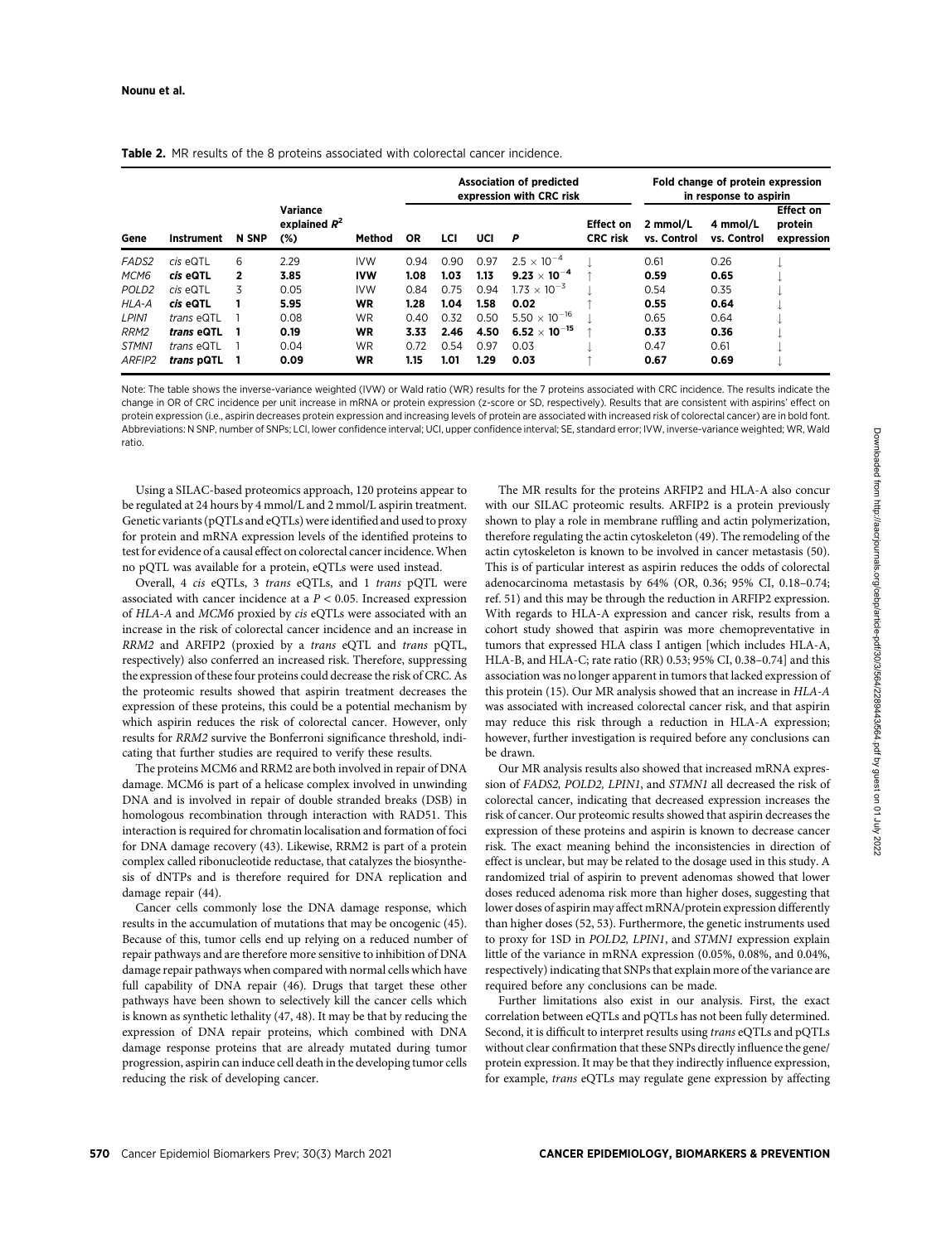| Gene              | Instrument        | <b>N SNP</b>   | Variance<br>explained $R^2$<br>$(\%)$ |            | <b>Association of predicted</b><br>expression with CRC risk |      |      |                                 | Fold change of protein expression<br>in response to aspirin |                         |                         |                                           |
|-------------------|-------------------|----------------|---------------------------------------|------------|-------------------------------------------------------------|------|------|---------------------------------|-------------------------------------------------------------|-------------------------|-------------------------|-------------------------------------------|
|                   |                   |                |                                       | Method     | <b>OR</b>                                                   | LCI  | UCI  | P                               | <b>Effect on</b><br><b>CRC</b> risk                         | 2 mmol/L<br>vs. Control | 4 mmol/L<br>vs. Control | <b>Effect on</b><br>protein<br>expression |
| FADS <sub>2</sub> | $cis$ eQTL        | 6              | 2.29                                  | <b>IVW</b> | 0.94                                                        | 0.90 | 0.97 | $2.5 \times 10^{-4}$            |                                                             | 0.61                    | 0.26                    |                                           |
| MCM6              | cis eQTL          | $\overline{2}$ | 3.85                                  | <b>IVW</b> | 1.08                                                        | 1.03 | 1.13 | $9.23 \times 10^{-4}$           |                                                             | 0.59                    | 0.65                    |                                           |
| POLD <sub>2</sub> | $cis$ eQTL        | 3              | 0.05                                  | <b>IVW</b> | 0.84                                                        | 0.75 | 0.94 | $1.73 \times 10^{-5}$           |                                                             | 0.54                    | 0.35                    |                                           |
| HLA-A             | cis eQTL          |                | 5.95                                  | <b>WR</b>  | 1.28                                                        | 1.04 | 1.58 | 0.02                            |                                                             | 0.55                    | 0.64                    |                                           |
| LPIN1             | trans eQTL        |                | 0.08                                  | <b>WR</b>  | 0.40                                                        | 0.32 | 0.50 | 5.50 $\times$ 10 <sup>-16</sup> |                                                             | 0.65                    | 0.64                    |                                           |
| RRM2              | <i>trans</i> eQTL |                | 0.19                                  | <b>WR</b>  | 3.33                                                        | 2.46 | 4.50 | $6.52 \times 10^{-15}$          |                                                             | 0.33                    | 0.36                    |                                           |
| STMN1             | trans eQTL        |                | 0.04                                  | <b>WR</b>  | 0.72                                                        | 0.54 | 0.97 | 0.03                            |                                                             | 0.47                    | 0.61                    |                                           |
| ARFIP2            | trans pQTL        |                | 0.09                                  | WR         | 1.15                                                        | 1.01 | 1.29 | 0.03                            |                                                             | 0.67                    | 0.69                    |                                           |

**Table 2.** MR results of the 8 proteins associated with colorectal cancer incidence.

Note: The table shows the inverse-variance weighted (IVW) or Wald ratio (WR) results for the 7 proteins associated with CRC incidence. The results indicate the change in OR of CRC incidence per unit increase in mRNA or protein expression (z-score or SD, respectively). Results that are consistent with aspirins' effect on protein expression (i.e., aspirin decreases protein expression and increasing levels of protein are associated with increased risk of colorectal cancer) are in bold font. Abbreviations: N SNP, number of SNPs; LCI, lower confidence interval; UCI, upper confidence interval; SE, standard error; IVW, inverse-variance weighted; WR, Wald ratio.

Using a SILAC-based proteomics approach, 120 proteins appear to be regulated at 24 hours by 4 mmol/L and 2 mmol/L aspirin treatment. Genetic variants (pQTLs and eQTLs) were identified and used to proxy for protein and mRNA expression levels of the identified proteins to test for evidence of a causal effect on colorectal cancer incidence. When no pQTL was available for a protein, eQTLs were used instead.

Overall, 4 cis eQTLs, 3 trans eQTLs, and 1 trans pQTL were associated with cancer incidence at a  $P < 0.05$ . Increased expression of HLA-A and MCM6 proxied by cis eQTLs were associated with an increase in the risk of colorectal cancer incidence and an increase in RRM2 and ARFIP2 (proxied by a trans eQTL and trans pQTL, respectively) also conferred an increased risk. Therefore, suppressing the expression of these four proteins could decrease the risk of CRC. As the proteomic results showed that aspirin treatment decreases the expression of these proteins, this could be a potential mechanism by which aspirin reduces the risk of colorectal cancer. However, only results for RRM2 survive the Bonferroni significance threshold, indicating that further studies are required to verify these results.

The proteins MCM6 and RRM2 are both involved in repair of DNA damage. MCM6 is part of a helicase complex involved in unwinding DNA and is involved in repair of double stranded breaks (DSB) in homologous recombination through interaction with RAD51. This interaction is required for chromatin localisation and formation of foci for DNA damage recovery (43). Likewise, RRM2 is part of a protein complex called ribonucleotide reductase, that catalyzes the biosynthesis of dNTPs and is therefore required for DNA replication and damage repair (44).

Cancer cells commonly lose the DNA damage response, which results in the accumulation of mutations that may be oncogenic (45). Because of this, tumor cells end up relying on a reduced number of repair pathways and are therefore more sensitive to inhibition of DNA damage repair pathways when compared with normal cells which have full capability of DNA repair (46). Drugs that target these other pathways have been shown to selectively kill the cancer cells which is known as synthetic lethality (47, 48). It may be that by reducing the expression of DNA repair proteins, which combined with DNA damage response proteins that are already mutated during tumor progression, aspirin can induce cell death in the developing tumor cells reducing the risk of developing cancer.

The MR results for the proteins ARFIP2 and HLA-A also concur with our SILAC proteomic results. ARFIP2 is a protein previously shown to play a role in membrane ruffling and actin polymerization, therefore regulating the actin cytoskeleton (49). The remodeling of the actin cytoskeleton is known to be involved in cancer metastasis (50). This is of particular interest as aspirin reduces the odds of colorectal adenocarcinoma metastasis by 64% (OR, 0.36; 95% CI, 0.18–0.74; ref. 51) and this may be through the reduction in ARFIP2 expression. With regards to HLA-A expression and cancer risk, results from a cohort study showed that aspirin was more chemopreventative in tumors that expressed HLA class I antigen [which includes HLA-A, HLA-B, and HLA-C; rate ratio (RR) 0.53; 95% CI, 0.38–0.74] and this association was no longer apparent in tumors that lacked expression of this protein (15). Our MR analysis showed that an increase in HLA-A was associated with increased colorectal cancer risk, and that aspirin may reduce this risk through a reduction in HLA-A expression; however, further investigation is required before any conclusions can be drawn.

Our MR analysis results also showed that increased mRNA expression of FADS2, POLD2, LPIN1, and STMN1 all decreased the risk of colorectal cancer, indicating that decreased expression increases the risk of cancer. Our proteomic results showed that aspirin decreases the expression of these proteins and aspirin is known to decrease cancer risk. The exact meaning behind the inconsistencies in direction of effect is unclear, but may be related to the dosage used in this study. A randomized trial of aspirin to prevent adenomas showed that lower doses reduced adenoma risk more than higher doses, suggesting that lower doses of aspirin may affect mRNA/protein expression differently than higher doses (52, 53). Furthermore, the genetic instruments used to proxy for 1SD in POLD2, LPIN1, and STMN1 expression explain little of the variance in mRNA expression (0.05%, 0.08%, and 0.04%, respectively) indicating that SNPs that explain more of the variance are required before any conclusions can be made.

Further limitations also exist in our analysis. First, the exact correlation between eQTLs and pQTLs has not been fully determined. Second, it is difficult to interpret results using trans eQTLs and pQTLs without clear confirmation that these SNPs directly influence the gene/ protein expression. It may be that they indirectly influence expression, for example, trans eQTLs may regulate gene expression by affecting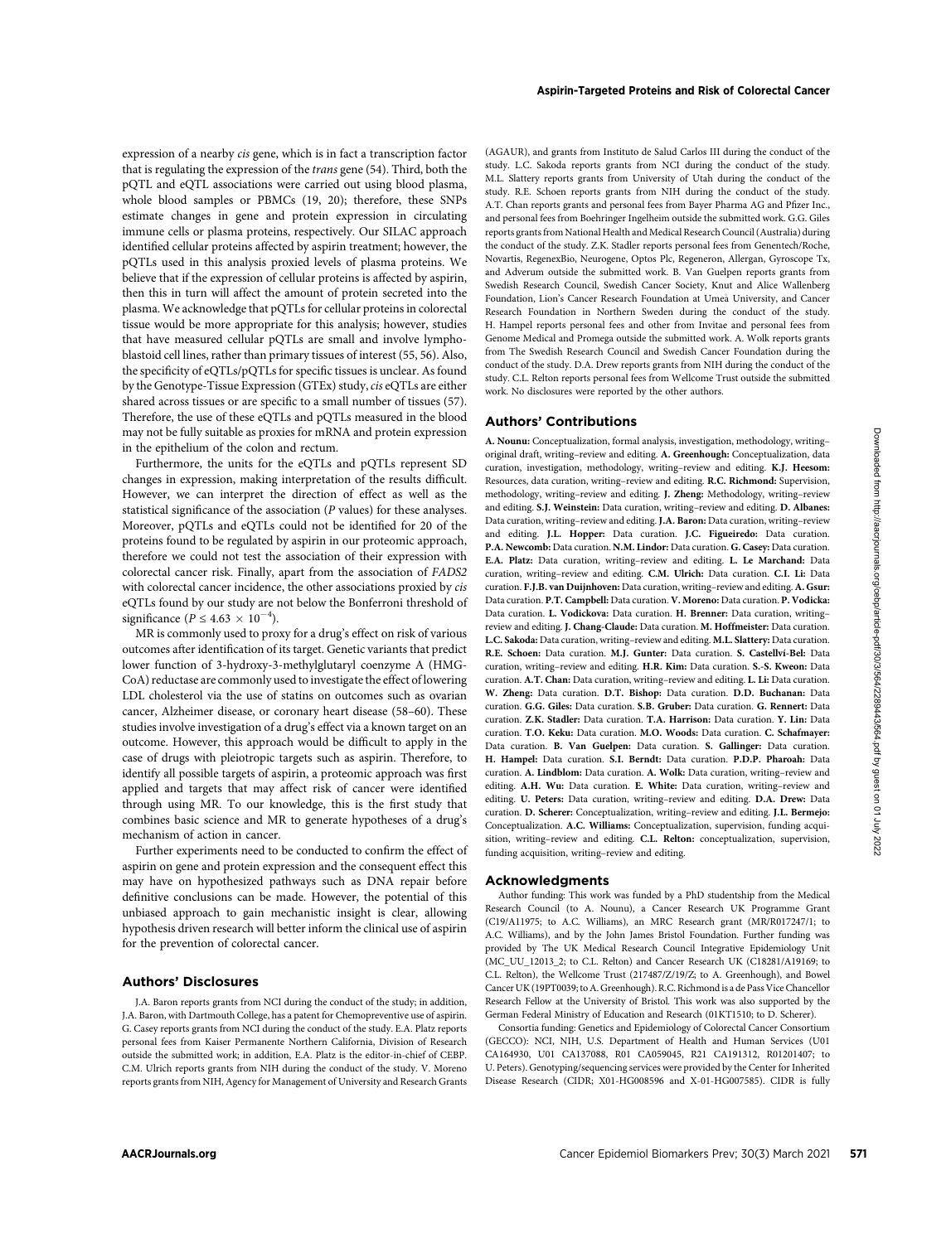expression of a nearby cis gene, which is in fact a transcription factor that is regulating the expression of the trans gene (54). Third, both the pQTL and eQTL associations were carried out using blood plasma, whole blood samples or PBMCs (19, 20); therefore, these SNPs estimate changes in gene and protein expression in circulating immune cells or plasma proteins, respectively. Our SILAC approach identified cellular proteins affected by aspirin treatment; however, the pQTLs used in this analysis proxied levels of plasma proteins. We believe that if the expression of cellular proteins is affected by aspirin, then this in turn will affect the amount of protein secreted into the plasma. We acknowledge that pQTLs for cellular proteins in colorectal tissue would be more appropriate for this analysis; however, studies that have measured cellular pQTLs are small and involve lymphoblastoid cell lines, rather than primary tissues of interest (55, 56). Also, the specificity of eQTLs/pQTLs for specific tissues is unclear. As found by the Genotype-Tissue Expression (GTEx) study, cis eQTLs are either shared across tissues or are specific to a small number of tissues (57). Therefore, the use of these eQTLs and pQTLs measured in the blood may not be fully suitable as proxies for mRNA and protein expression in the epithelium of the colon and rectum.

Furthermore, the units for the eQTLs and pQTLs represent SD changes in expression, making interpretation of the results difficult. However, we can interpret the direction of effect as well as the statistical significance of the association (P values) for these analyses. Moreover, pQTLs and eQTLs could not be identified for 20 of the proteins found to be regulated by aspirin in our proteomic approach, therefore we could not test the association of their expression with colorectal cancer risk. Finally, apart from the association of FADS2 with colorectal cancer incidence, the other associations proxied by cis eQTLs found by our study are not below the Bonferroni threshold of significance ( $P \leq 4.63 \times 10^{-4}$ ).

MR is commonly used to proxy for a drug's effect on risk of various outcomes after identification of its target. Genetic variants that predict lower function of 3-hydroxy-3-methylglutaryl coenzyme A (HMG-CoA) reductase are commonly used to investigate the effect of lowering LDL cholesterol via the use of statins on outcomes such as ovarian cancer, Alzheimer disease, or coronary heart disease (58–60). These studies involve investigation of a drug's effect via a known target on an outcome. However, this approach would be difficult to apply in the case of drugs with pleiotropic targets such as aspirin. Therefore, to identify all possible targets of aspirin, a proteomic approach was first applied and targets that may affect risk of cancer were identified through using MR. To our knowledge, this is the first study that combines basic science and MR to generate hypotheses of a drug's mechanism of action in cancer.

Further experiments need to be conducted to confirm the effect of aspirin on gene and protein expression and the consequent effect this may have on hypothesized pathways such as DNA repair before definitive conclusions can be made. However, the potential of this unbiased approach to gain mechanistic insight is clear, allowing hypothesis driven research will better inform the clinical use of aspirin for the prevention of colorectal cancer.

## Authors' Disclosures

J.A. Baron reports grants from NCI during the conduct of the study; in addition, J.A. Baron, with Dartmouth College, has a patent for Chemopreventive use of aspirin. G. Casey reports grants from NCI during the conduct of the study. E.A. Platz reports personal fees from Kaiser Permanente Northern California, Division of Research outside the submitted work; in addition, E.A. Platz is the editor-in-chief of CEBP. C.M. Ulrich reports grants from NIH during the conduct of the study. V. Moreno reports grants from NIH, Agency for Management of University and Research Grants (AGAUR), and grants from Instituto de Salud Carlos III during the conduct of the study. L.C. Sakoda reports grants from NCI during the conduct of the study. M.L. Slattery reports grants from University of Utah during the conduct of the study. R.E. Schoen reports grants from NIH during the conduct of the study. A.T. Chan reports grants and personal fees from Bayer Pharma AG and Pfizer Inc., and personal fees from Boehringer Ingelheim outside the submitted work. G.G. Giles reports grants from National Health and Medical Research Council (Australia) during the conduct of the study. Z.K. Stadler reports personal fees from Genentech/Roche, Novartis, RegenexBio, Neurogene, Optos Plc, Regeneron, Allergan, Gyroscope Tx, and Adverum outside the submitted work. B. Van Guelpen reports grants from Swedish Research Council, Swedish Cancer Society, Knut and Alice Wallenberg Foundation, Lion's Cancer Research Foundation at Umea University, and Cancer Research Foundation in Northern Sweden during the conduct of the study. H. Hampel reports personal fees and other from Invitae and personal fees from Genome Medical and Promega outside the submitted work. A. Wolk reports grants from The Swedish Research Council and Swedish Cancer Foundation during the conduct of the study. D.A. Drew reports grants from NIH during the conduct of the study. C.L. Relton reports personal fees from Wellcome Trust outside the submitted work. No disclosures were reported by the other authors.

## Authors' Contributions

A. Nounu: Conceptualization, formal analysis, investigation, methodology, writing– original draft, writing–review and editing. A. Greenhough: Conceptualization, data curation, investigation, methodology, writing–review and editing. K.J. Heesom: Resources, data curation, writing–review and editing. R.C. Richmond: Supervision, methodology, writing–review and editing. J. Zheng: Methodology, writing–review and editing. S.J. Weinstein: Data curation, writing–review and editing. D. Albanes: Data curation, writing–review and editing. J.A. Baron: Data curation, writing–review and editing. J.L. Hopper: Data curation. J.C. Figueiredo: Data curation. P.A. Newcomb: Data curation. N.M. Lindor: Data curation. G. Casey: Data curation. E.A. Platz: Data curation, writing–review and editing. L. Le Marchand: Data curation, writing–review and editing. C.M. Ulrich: Data curation. C.I. Li: Data curation. F.J.B. van Duijnhoven: Data curation, writing–review and editing.A. Gsur: Data curation. P.T. Campbell: Data curation. V. Moreno: Data curation. P. Vodicka: Data curation. L. Vodickova: Data curation. H. Brenner: Data curation, writing– review and editing. J. Chang-Claude: Data curation. M. Hoffmeister: Data curation. L.C. Sakoda: Data curation, writing–review and editing. M.L. Slattery: Data curation. R.E. Schoen: Data curation. M.J. Gunter: Data curation. S. Castellví-Bel: Data curation, writing–review and editing. H.R. Kim: Data curation. S.-S. Kweon: Data curation. A.T. Chan: Data curation, writing–review and editing. L. Li: Data curation. W. Zheng: Data curation. D.T. Bishop: Data curation. D.D. Buchanan: Data curation. G.G. Giles: Data curation. S.B. Gruber: Data curation. G. Rennert: Data curation. Z.K. Stadler: Data curation. T.A. Harrison: Data curation. Y. Lin: Data curation. T.O. Keku: Data curation. M.O. Woods: Data curation. C. Schafmayer: Data curation. B. Van Guelpen: Data curation. S. Gallinger: Data curation. H. Hampel: Data curation. S.I. Berndt: Data curation. P.D.P. Pharoah: Data curation. A. Lindblom: Data curation. A. Wolk: Data curation, writing–review and editing. A.H. Wu: Data curation. E. White: Data curation, writing–review and editing. U. Peters: Data curation, writing–review and editing. D.A. Drew: Data curation. D. Scherer: Conceptualization, writing–review and editing. J.L. Bermejo: Conceptualization. A.C. Williams: Conceptualization, supervision, funding acquisition, writing–review and editing. C.L. Relton: conceptualization, supervision, funding acquisition, writing–review and editing.

## Acknowledgments

Author funding: This work was funded by a PhD studentship from the Medical Research Council (to A. Nounu), a Cancer Research UK Programme Grant (C19/A11975; to A.C. Williams), an MRC Research grant (MR/R017247/1; to A.C. Williams), and by the John James Bristol Foundation. Further funding was provided by The UK Medical Research Council Integrative Epidemiology Unit (MC\_UU\_12013\_2; to C.L. Relton) and Cancer Research UK (C18281/A19169; to C.L. Relton), the Wellcome Trust (217487/Z/19/Z; to A. Greenhough), and Bowel Cancer UK (19PT0039; to A. Greenhough). R.C. Richmond is a de Pass Vice Chancellor Research Fellow at the University of Bristol. This work was also supported by the German Federal Ministry of Education and Research (01KT1510; to D. Scherer).

Consortia funding: Genetics and Epidemiology of Colorectal Cancer Consortium (GECCO): NCI, NIH, U.S. Department of Health and Human Services (U01 CA164930, U01 CA137088, R01 CA059045, R21 CA191312, R01201407; to U. Peters). Genotyping/sequencing services were provided by the Center for Inherited Disease Research (CIDR; X01-HG008596 and X-01-HG007585). CIDR is fully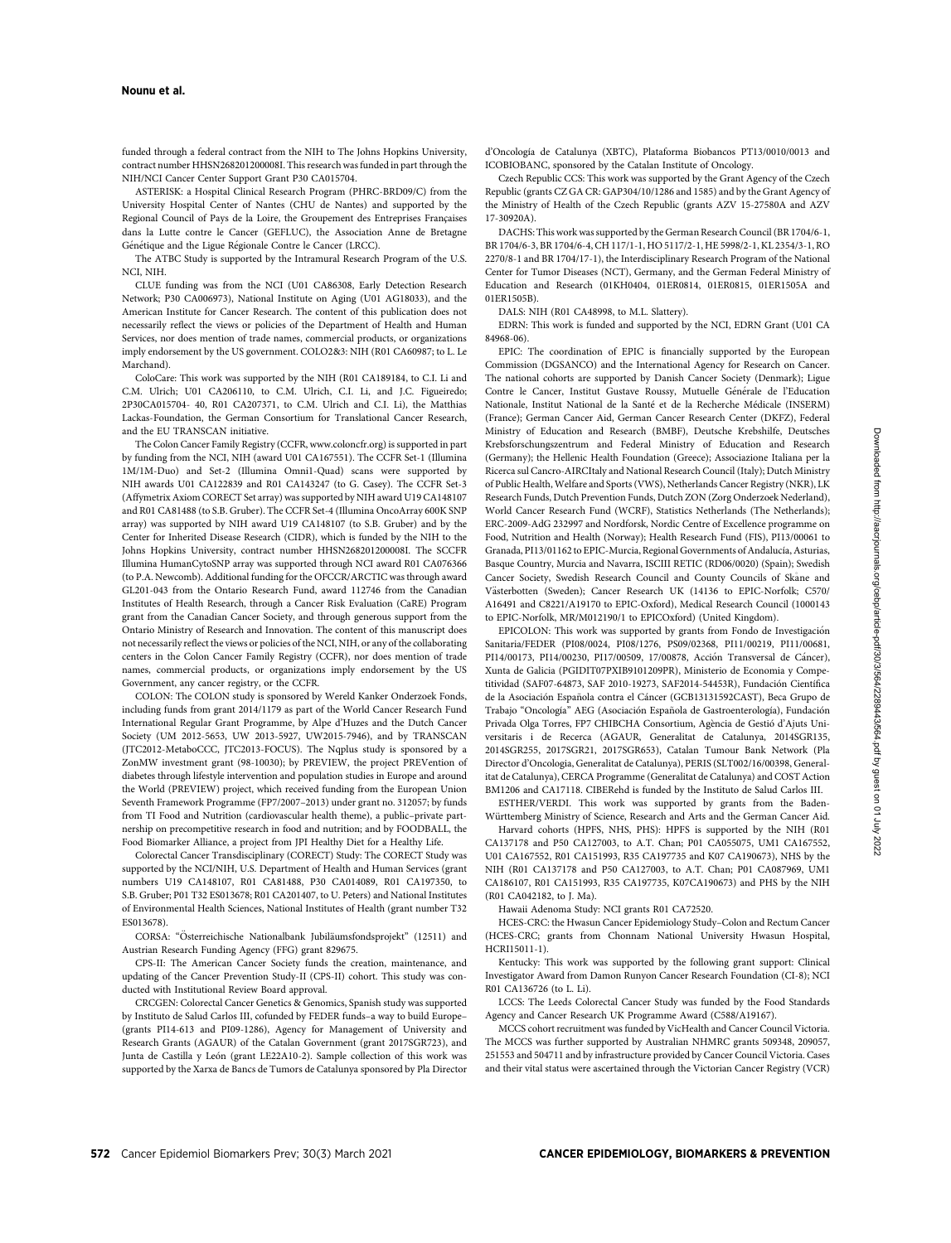funded through a federal contract from the NIH to The Johns Hopkins University, contract number HHSN268201200008I. This research was funded in part through the NIH/NCI Cancer Center Support Grant P30 CA015704.

ASTERISK: a Hospital Clinical Research Program (PHRC-BRD09/C) from the University Hospital Center of Nantes (CHU de Nantes) and supported by the Regional Council of Pays de la Loire, the Groupement des Entreprises Françaises dans la Lutte contre le Cancer (GEFLUC), the Association Anne de Bretagne Génétique and the Ligue Régionale Contre le Cancer (LRCC).

The ATBC Study is supported by the Intramural Research Program of the U.S. NCI, NIH.

CLUE funding was from the NCI (U01 CA86308, Early Detection Research Network; P30 CA006973), National Institute on Aging (U01 AG18033), and the American Institute for Cancer Research. The content of this publication does not necessarily reflect the views or policies of the Department of Health and Human Services, nor does mention of trade names, commercial products, or organizations imply endorsement by the US government. COLO2&3: NIH (R01 CA60987; to L. Le Marchand).

ColoCare: This work was supported by the NIH (R01 CA189184, to C.I. Li and C.M. Ulrich; U01 CA206110, to C.M. Ulrich, C.I. Li, and J.C. Figueiredo; 2P30CA015704- 40, R01 CA207371, to C.M. Ulrich and C.I. Li), the Matthias Lackas-Foundation, the German Consortium for Translational Cancer Research, and the EU TRANSCAN initiative.

The Colon Cancer Family Registry (CCFR, [www.coloncfr.org\)](http://www.coloncfr.org) is supported in part by funding from the NCI, NIH (award U01 CA167551). The CCFR Set-1 (Illumina 1M/1M-Duo) and Set-2 (Illumina Omni1-Quad) scans were supported by NIH awards U01 CA122839 and R01 CA143247 (to G. Casey). The CCFR Set-3 (Affymetrix Axiom CORECT Set array) was supported by NIH award U19 CA148107 and R01 CA81488 (to S.B. Gruber). The CCFR Set-4 (Illumina OncoArray 600K SNP array) was supported by NIH award U19 CA148107 (to S.B. Gruber) and by the Center for Inherited Disease Research (CIDR), which is funded by the NIH to the Johns Hopkins University, contract number HHSN268201200008I. The SCCFR Illumina HumanCytoSNP array was supported through NCI award R01 CA076366 (to P.A. Newcomb). Additional funding for the OFCCR/ARCTIC was through award GL201-043 from the Ontario Research Fund, award 112746 from the Canadian Institutes of Health Research, through a Cancer Risk Evaluation (CaRE) Program grant from the Canadian Cancer Society, and through generous support from the Ontario Ministry of Research and Innovation. The content of this manuscript does not necessarily reflect the views or policies of the NCI, NIH, or any of the collaborating centers in the Colon Cancer Family Registry (CCFR), nor does mention of trade names, commercial products, or organizations imply endorsement by the US Government, any cancer registry, or the CCFR.

COLON: The COLON study is sponsored by Wereld Kanker Onderzoek Fonds, including funds from grant 2014/1179 as part of the World Cancer Research Fund International Regular Grant Programme, by Alpe d'Huzes and the Dutch Cancer Society (UM 2012-5653, UW 2013-5927, UW2015-7946), and by TRANSCAN (JTC2012-MetaboCCC, JTC2013-FOCUS). The Nqplus study is sponsored by a ZonMW investment grant (98-10030); by PREVIEW, the project PREVention of diabetes through lifestyle intervention and population studies in Europe and around the World (PREVIEW) project, which received funding from the European Union Seventh Framework Programme (FP7/2007–2013) under grant no. 312057; by funds from TI Food and Nutrition (cardiovascular health theme), a public–private partnership on precompetitive research in food and nutrition; and by FOODBALL, the Food Biomarker Alliance, a project from JPI Healthy Diet for a Healthy Life.

Colorectal Cancer Transdisciplinary (CORECT) Study: The CORECT Study was supported by the NCI/NIH, U.S. Department of Health and Human Services (grant numbers U19 CA148107, R01 CA81488, P30 CA014089, R01 CA197350, to S.B. Gruber; P01 T32 ES013678; R01 CA201407, to U. Peters) and National Institutes of Environmental Health Sciences, National Institutes of Health (grant number T32 ES013678)

CORSA: "Österreichische Nationalbank Jubiläumsfondsprojekt" (12511) and Austrian Research Funding Agency (FFG) grant 829675.

CPS-II: The American Cancer Society funds the creation, maintenance, and updating of the Cancer Prevention Study-II (CPS-II) cohort. This study was conducted with Institutional Review Board approval.

CRCGEN: Colorectal Cancer Genetics & Genomics, Spanish study was supported by Instituto de Salud Carlos III, cofunded by FEDER funds–a way to build Europe– (grants PI14-613 and PI09-1286), Agency for Management of University and Research Grants (AGAUR) of the Catalan Government (grant 2017SGR723), and Junta de Castilla y León (grant LE22A10-2). Sample collection of this work was supported by the Xarxa de Bancs de Tumors de Catalunya sponsored by Pla Director

d'Oncología de Catalunya (XBTC), Plataforma Biobancos PT13/0010/0013 and ICOBIOBANC, sponsored by the Catalan Institute of Oncology.

Czech Republic CCS: This work was supported by the Grant Agency of the Czech Republic (grants CZ GA CR: GAP304/10/1286 and 1585) and by the Grant Agency of the Ministry of Health of the Czech Republic (grants AZV 15-27580A and AZV 17-30920A).

DACHS: This work was supported by the German Research Council (BR 1704/6-1, BR 1704/6-3, BR 1704/6-4, CH 117/1-1, HO 5117/2-1, HE 5998/2-1, KL 2354/3-1, RO 2270/8-1 and BR 1704/17-1), the Interdisciplinary Research Program of the National Center for Tumor Diseases (NCT), Germany, and the German Federal Ministry of Education and Research (01KH0404, 01ER0814, 01ER0815, 01ER1505A and 01ER1505B).

DALS: NIH (R01 CA48998, to M.L. Slattery).

EDRN: This work is funded and supported by the NCI, EDRN Grant (U01 CA 84968-06).

EPIC: The coordination of EPIC is financially supported by the European Commission (DGSANCO) and the International Agency for Research on Cancer. The national cohorts are supported by Danish Cancer Society (Denmark); Ligue Contre le Cancer, Institut Gustave Roussy, Mutuelle Générale de l'Education Nationale, Institut National de la Sante et de la Recherche Medicale (INSERM) (France); German Cancer Aid, German Cancer Research Center (DKFZ), Federal Ministry of Education and Research (BMBF), Deutsche Krebshilfe, Deutsches Krebsforschungszentrum and Federal Ministry of Education and Research (Germany); the Hellenic Health Foundation (Greece); Associazione Italiana per la Ricerca sul Cancro-AIRCItaly and National Research Council (Italy); Dutch Ministry of Public Health, Welfare and Sports (VWS), Netherlands Cancer Registry (NKR), LK Research Funds, Dutch Prevention Funds, Dutch ZON (Zorg Onderzoek Nederland), World Cancer Research Fund (WCRF), Statistics Netherlands (The Netherlands); ERC-2009-AdG 232997 and Nordforsk, Nordic Centre of Excellence programme on Food, Nutrition and Health (Norway); Health Research Fund (FIS), PI13/00061 to Granada, PI13/01162 to EPIC-Murcia, Regional Governments of Andalucía, Asturias, Basque Country, Murcia and Navarra, ISCIII RETIC (RD06/0020) (Spain); Swedish Cancer Society, Swedish Research Council and County Councils of Skane and Västerbotten (Sweden): Cancer Research UK (14136 to EPIC-Norfolk: C570/ A16491 and C8221/A19170 to EPIC-Oxford), Medical Research Council (1000143 to EPIC-Norfolk, MR/M012190/1 to EPICOxford) (United Kingdom).

EPICOLON: This work was supported by grants from Fondo de Investigacion Sanitaria/FEDER (PI08/0024, PI08/1276, PS09/02368, PI11/00219, PI11/00681, PI14/00173, PI14/00230, PI17/00509, 17/00878, Acción Transversal de Cáncer), Xunta de Galicia (PGIDIT07PXIB9101209PR), Ministerio de Economia y Competitividad (SAF07-64873, SAF 2010-19273, SAF2014-54453R), Fundacion Científica de la Asociación Española contra el Cáncer (GCB13131592CAST), Beca Grupo de Trabajo "Oncología" AEG (Asociación Española de Gastroenterología), Fundación Privada Olga Torres, FP7 CHIBCHA Consortium, Agencia de Gestio d'Ajuts Universitaris i de Recerca (AGAUR, Generalitat de Catalunya, 2014SGR135, 2014SGR255, 2017SGR21, 2017SGR653), Catalan Tumour Bank Network (Pla Director d'Oncologia, Generalitat de Catalunya), PERIS (SLT002/16/00398, Generalitat de Catalunya), CERCA Programme (Generalitat de Catalunya) and COST Action BM1206 and CA17118. CIBERehd is funded by the Instituto de Salud Carlos III.

ESTHER/VERDI. This work was supported by grants from the Baden-Württemberg Ministry of Science, Research and Arts and the German Cancer Aid.

Harvard cohorts (HPFS, NHS, PHS): HPFS is supported by the NIH (R01 CA137178 and P50 CA127003, to A.T. Chan; P01 CA055075, UM1 CA167552, U01 CA167552, R01 CA151993, R35 CA197735 and K07 CA190673), NHS by the NIH (R01 CA137178 and P50 CA127003, to A.T. Chan; P01 CA087969, UM1 CA186107, R01 CA151993, R35 CA197735, K07CA190673) and PHS by the NIH (R01 CA042182, to J. Ma).

Hawaii Adenoma Study: NCI grants R01 CA72520.

HCES-CRC: the Hwasun Cancer Epidemiology Study–Colon and Rectum Cancer (HCES-CRC; grants from Chonnam National University Hwasun Hospital, HCRI15011-1).

Kentucky: This work was supported by the following grant support: Clinical Investigator Award from Damon Runyon Cancer Research Foundation (CI-8); NCI R01 CA136726 (to L. Li).

LCCS: The Leeds Colorectal Cancer Study was funded by the Food Standards Agency and Cancer Research UK Programme Award (C588/A19167).

MCCS cohort recruitment was funded by VicHealth and Cancer Council Victoria. The MCCS was further supported by Australian NHMRC grants 509348, 209057, 251553 and 504711 and by infrastructure provided by Cancer Council Victoria. Cases and their vital status were ascertained through the Victorian Cancer Registry (VCR)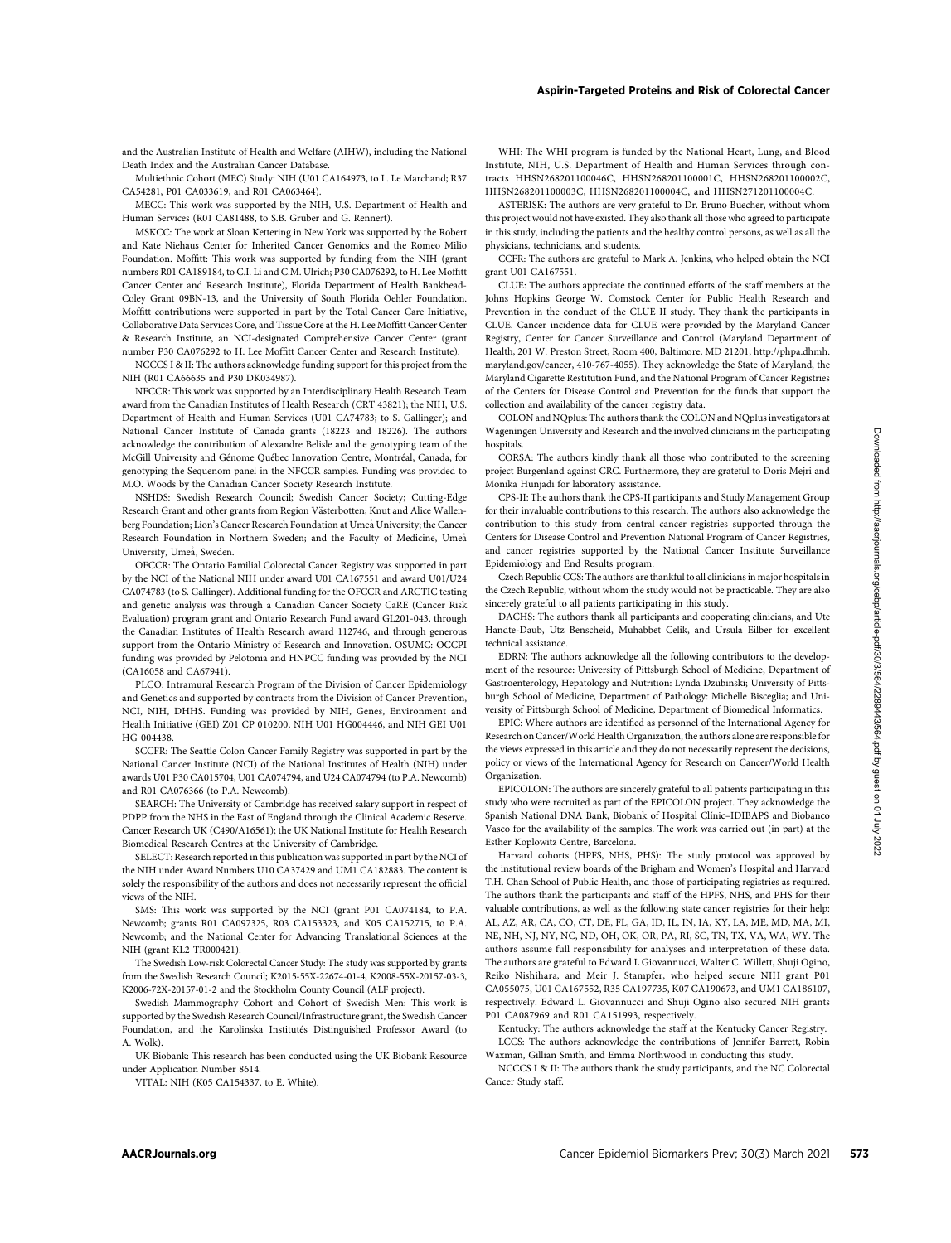and the Australian Institute of Health and Welfare (AIHW), including the National Death Index and the Australian Cancer Database.

Multiethnic Cohort (MEC) Study: NIH (U01 CA164973, to L. Le Marchand; R37 CA54281, P01 CA033619, and R01 CA063464).

MECC: This work was supported by the NIH, U.S. Department of Health and Human Services (R01 CA81488, to S.B. Gruber and G. Rennert).

MSKCC: The work at Sloan Kettering in New York was supported by the Robert and Kate Niehaus Center for Inherited Cancer Genomics and the Romeo Milio Foundation. Moffitt: This work was supported by funding from the NIH (grant numbers R01 CA189184, to C.I. Li and C.M. Ulrich; P30 CA076292, to H. Lee Moffitt Cancer Center and Research Institute), Florida Department of Health Bankhead-Coley Grant 09BN-13, and the University of South Florida Oehler Foundation. Moffitt contributions were supported in part by the Total Cancer Care Initiative, Collaborative Data Services Core, and Tissue Core at the H. Lee Moffitt Cancer Center & Research Institute, an NCI-designated Comprehensive Cancer Center (grant number P30 CA076292 to H. Lee Moffitt Cancer Center and Research Institute).

NCCCS I & II: The authors acknowledge funding support for this project from the NIH (R01 CA66635 and P30 DK034987).

NFCCR: This work was supported by an Interdisciplinary Health Research Team award from the Canadian Institutes of Health Research (CRT 43821); the NIH, U.S. Department of Health and Human Services (U01 CA74783; to S. Gallinger); and National Cancer Institute of Canada grants (18223 and 18226). The authors acknowledge the contribution of Alexandre Belisle and the genotyping team of the McGill University and Genome Quebec Innovation Centre, Montreal, Canada, for genotyping the Sequenom panel in the NFCCR samples. Funding was provided to M.O. Woods by the Canadian Cancer Society Research Institute.

NSHDS: Swedish Research Council; Swedish Cancer Society; Cutting-Edge Research Grant and other grants from Region Västerbotten: Knut and Alice Wallenberg Foundation; Lion's Cancer Research Foundation at Umea- University; the Cancer Research Foundation in Northern Sweden; and the Faculty of Medicine, Umea- University, Umea, Sweden.

OFCCR: The Ontario Familial Colorectal Cancer Registry was supported in part by the NCI of the National NIH under award U01 CA167551 and award U01/U24 CA074783 (to S. Gallinger). Additional funding for the OFCCR and ARCTIC testing and genetic analysis was through a Canadian Cancer Society CaRE (Cancer Risk Evaluation) program grant and Ontario Research Fund award GL201-043, through the Canadian Institutes of Health Research award 112746, and through generous support from the Ontario Ministry of Research and Innovation. OSUMC: OCCPI funding was provided by Pelotonia and HNPCC funding was provided by the NCI (CA16058 and CA67941).

PLCO: Intramural Research Program of the Division of Cancer Epidemiology and Genetics and supported by contracts from the Division of Cancer Prevention, NCI, NIH, DHHS. Funding was provided by NIH, Genes, Environment and Health Initiative (GEI) Z01 CP 010200, NIH U01 HG004446, and NIH GEI U01 HG 004438.

SCCFR: The Seattle Colon Cancer Family Registry was supported in part by the National Cancer Institute (NCI) of the National Institutes of Health (NIH) under awards U01 P30 CA015704, U01 CA074794, and U24 CA074794 (to P.A. Newcomb) and R01 CA076366 (to P.A. Newcomb).

SEARCH: The University of Cambridge has received salary support in respect of PDPP from the NHS in the East of England through the Clinical Academic Reserve. Cancer Research UK (C490/A16561); the UK National Institute for Health Research Biomedical Research Centres at the University of Cambridge.

SELECT: Research reported in this publication was supported in part by the NCI of the NIH under Award Numbers U10 CA37429 and UM1 CA182883. The content is solely the responsibility of the authors and does not necessarily represent the official views of the NIH.

SMS: This work was supported by the NCI (grant P01 CA074184, to P.A. Newcomb; grants R01 CA097325, R03 CA153323, and K05 CA152715, to P.A. Newcomb; and the National Center for Advancing Translational Sciences at the NIH (grant KL2 TR000421).

The Swedish Low-risk Colorectal Cancer Study: The study was supported by grants from the Swedish Research Council; K2015-55X-22674-01-4, K2008-55X-20157-03-3, K2006-72X-20157-01-2 and the Stockholm County Council (ALF project).

Swedish Mammography Cohort and Cohort of Swedish Men: This work is supported by the Swedish Research Council/Infrastructure grant, the Swedish Cancer Foundation, and the Karolinska Institutés Distinguished Professor Award (to A. Wolk).

UK Biobank: This research has been conducted using the UK Biobank Resource under Application Number 8614.

VITAL: NIH (K05 CA154337, to E. White).

WHI: The WHI program is funded by the National Heart, Lung, and Blood Institute, NIH, U.S. Department of Health and Human Services through contracts HHSN268201100046C, HHSN268201100001C, HHSN268201100002C, HHSN268201100003C, HHSN268201100004C, and HHSN271201100004C.

ASTERISK: The authors are very grateful to Dr. Bruno Buecher, without whom this project would not have existed. They also thank all those who agreed to participate in this study, including the patients and the healthy control persons, as well as all the physicians, technicians, and students.

CCFR: The authors are grateful to Mark A. Jenkins, who helped obtain the NCI grant U01 CA167551.

CLUE: The authors appreciate the continued efforts of the staff members at the Johns Hopkins George W. Comstock Center for Public Health Research and Prevention in the conduct of the CLUE II study. They thank the participants in CLUE. Cancer incidence data for CLUE were provided by the Maryland Cancer Registry, Center for Cancer Surveillance and Control (Maryland Department of Health, 201 W. Preston Street, Room 400, Baltimore, MD 21201, [http://phpa.dhmh.](http://phpa.dhmh.maryland.gov/cancer) [maryland.gov/cancer,](http://phpa.dhmh.maryland.gov/cancer) 410-767-4055). They acknowledge the State of Maryland, the Maryland Cigarette Restitution Fund, and the National Program of Cancer Registries of the Centers for Disease Control and Prevention for the funds that support the collection and availability of the cancer registry data.

COLON and NQplus: The authors thank the COLON and NQplus investigators at Wageningen University and Research and the involved clinicians in the participating hospitals.

CORSA: The authors kindly thank all those who contributed to the screening project Burgenland against CRC. Furthermore, they are grateful to Doris Mejri and Monika Hunjadi for laboratory assistance.

CPS-II: The authors thank the CPS-II participants and Study Management Group for their invaluable contributions to this research. The authors also acknowledge the contribution to this study from central cancer registries supported through the Centers for Disease Control and Prevention National Program of Cancer Registries, and cancer registries supported by the National Cancer Institute Surveillance Epidemiology and End Results program.

Czech Republic CCS: The authors are thankful to all clinicians in major hospitals in the Czech Republic, without whom the study would not be practicable. They are also sincerely grateful to all patients participating in this study.

DACHS: The authors thank all participants and cooperating clinicians, and Ute Handte-Daub, Utz Benscheid, Muhabbet Celik, and Ursula Eilber for excellent technical assistance.

EDRN: The authors acknowledge all the following contributors to the development of the resource: University of Pittsburgh School of Medicine, Department of Gastroenterology, Hepatology and Nutrition: Lynda Dzubinski; University of Pittsburgh School of Medicine, Department of Pathology: Michelle Bisceglia; and University of Pittsburgh School of Medicine, Department of Biomedical Informatics.

EPIC: Where authors are identified as personnel of the International Agency for Research on Cancer/World Health Organization, the authors alone are responsible for the views expressed in this article and they do not necessarily represent the decisions, policy or views of the International Agency for Research on Cancer/World Health Organization.

EPICOLON: The authors are sincerely grateful to all patients participating in this study who were recruited as part of the EPICOLON project. They acknowledge the Spanish National DNA Bank, Biobank of Hospital Clínic–IDIBAPS and Biobanco Vasco for the availability of the samples. The work was carried out (in part) at the Esther Koplowitz Centre, Barcelona.

Harvard cohorts (HPFS, NHS, PHS): The study protocol was approved by the institutional review boards of the Brigham and Women's Hospital and Harvard T.H. Chan School of Public Health, and those of participating registries as required. The authors thank the participants and staff of the HPFS, NHS, and PHS for their valuable contributions, as well as the following state cancer registries for their help: AL, AZ, AR, CA, CO, CT, DE, FL, GA, ID, IL, IN, IA, KY, LA, ME, MD, MA, MI, NE, NH, NJ, NY, NC, ND, OH, OK, OR, PA, RI, SC, TN, TX, VA, WA, WY. The authors assume full responsibility for analyses and interpretation of these data. The authors are grateful to Edward L Giovannucci, Walter C. Willett, Shuji Ogino, Reiko Nishihara, and Meir J. Stampfer, who helped secure NIH grant P01 CA055075, U01 CA167552, R35 CA197735, K07 CA190673, and UM1 CA186107, respectively. Edward L. Giovannucci and Shuji Ogino also secured NIH grants P01 CA087969 and R01 CA151993, respectively.

Kentucky: The authors acknowledge the staff at the Kentucky Cancer Registry. LCCS: The authors acknowledge the contributions of Jennifer Barrett, Robin Waxman, Gillian Smith, and Emma Northwood in conducting this study.

NCCCS I & II: The authors thank the study participants, and the NC Colorectal Cancer Study staff.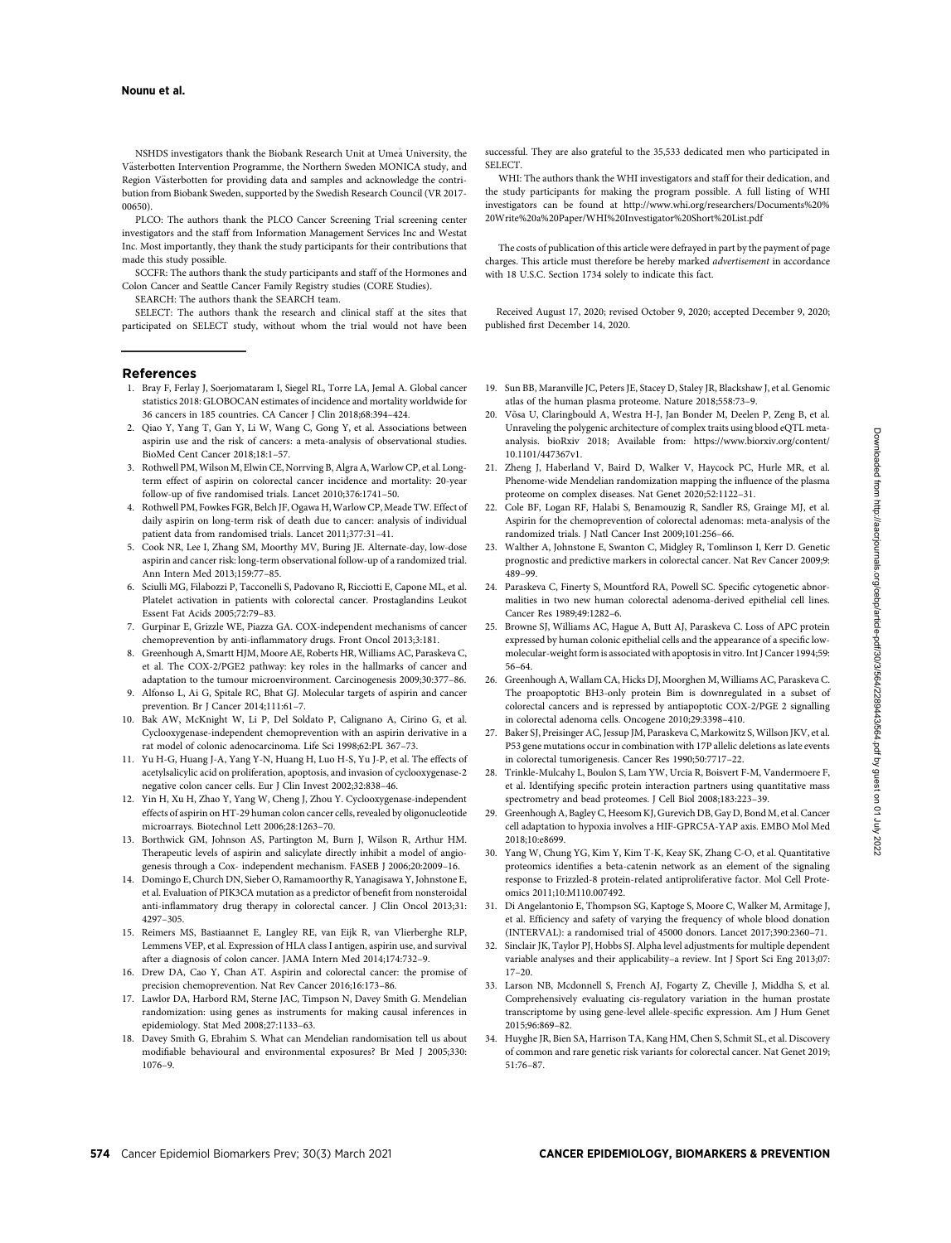NSHDS investigators thank the Biobank Research Unit at Umea- University, the Västerbotten Intervention Programme, the Northern Sweden MONICA study, and Region Västerbotten for providing data and samples and acknowledge the contribution from Biobank Sweden, supported by the Swedish Research Council (VR 2017- 00650).

PLCO: The authors thank the PLCO Cancer Screening Trial screening center investigators and the staff from Information Management Services Inc and Westat Inc. Most importantly, they thank the study participants for their contributions that made this study possible.

SCCFR: The authors thank the study participants and staff of the Hormones and Colon Cancer and Seattle Cancer Family Registry studies (CORE Studies). SEARCH: The authors thank the SEARCH team.

SELECT: The authors thank the research and clinical staff at the sites that participated on SELECT study, without whom the trial would not have been

#### References

- 1. Bray F, Ferlay J, Soerjomataram I, Siegel RL, Torre LA, Jemal A. Global cancer statistics 2018: GLOBOCAN estimates of incidence and mortality worldwide for 36 cancers in 185 countries. CA Cancer J Clin 2018;68:394–424.
- 2. Qiao Y, Yang T, Gan Y, Li W, Wang C, Gong Y, et al. Associations between aspirin use and the risk of cancers: a meta-analysis of observational studies. BioMed Cent Cancer 2018;18:1–57.
- 3. Rothwell PM, Wilson M, Elwin CE, Norrving B, Algra A, Warlow CP, et al. Longterm effect of aspirin on colorectal cancer incidence and mortality: 20-year follow-up of five randomised trials. Lancet 2010;376:1741–50.
- 4. Rothwell PM, Fowkes FGR, Belch JF, Ogawa H, Warlow CP, Meade TW. Effect of daily aspirin on long-term risk of death due to cancer: analysis of individual patient data from randomised trials. Lancet 2011;377:31–41.
- 5. Cook NR, Lee I, Zhang SM, Moorthy MV, Buring JE. Alternate-day, low-dose aspirin and cancer risk: long-term observational follow-up of a randomized trial. Ann Intern Med 2013;159:77–85.
- 6. Sciulli MG, Filabozzi P, Tacconelli S, Padovano R, Ricciotti E, Capone ML, et al. Platelet activation in patients with colorectal cancer. Prostaglandins Leukot Essent Fat Acids 2005;72:79–83.
- 7. Gurpinar E, Grizzle WE, Piazza GA. COX-independent mechanisms of cancer chemoprevention by anti-inflammatory drugs. Front Oncol 2013;3:181.
- 8. Greenhough A, Smartt HJM, Moore AE, Roberts HR, Williams AC, Paraskeva C, et al. The COX-2/PGE2 pathway: key roles in the hallmarks of cancer and adaptation to the tumour microenvironment. Carcinogenesis 2009;30:377–86.
- 9. Alfonso L, Ai G, Spitale RC, Bhat GJ. Molecular targets of aspirin and cancer prevention. Br J Cancer 2014;111:61–7.
- 10. Bak AW, McKnight W, Li P, Del Soldato P, Calignano A, Cirino G, et al. Cyclooxygenase-independent chemoprevention with an aspirin derivative in a rat model of colonic adenocarcinoma. Life Sci 1998;62:PL 367–73.
- 11. Yu H-G, Huang J-A, Yang Y-N, Huang H, Luo H-S, Yu J-P, et al. The effects of acetylsalicylic acid on proliferation, apoptosis, and invasion of cyclooxygenase-2 negative colon cancer cells. Eur J Clin Invest 2002;32:838–46.
- 12. Yin H, Xu H, Zhao Y, Yang W, Cheng J, Zhou Y. Cyclooxygenase-independent effects of aspirin on HT-29 human colon cancer cells, revealed by oligonucleotide microarrays. Biotechnol Lett 2006;28:1263–70.
- 13. Borthwick GM, Johnson AS, Partington M, Burn J, Wilson R, Arthur HM. Therapeutic levels of aspirin and salicylate directly inhibit a model of angiogenesis through a Cox- independent mechanism. FASEB J 2006;20:2009–16.
- 14. Domingo E, Church DN, Sieber O, Ramamoorthy R, Yanagisawa Y, Johnstone E, et al. Evaluation of PIK3CA mutation as a predictor of benefit from nonsteroidal anti-inflammatory drug therapy in colorectal cancer. J Clin Oncol 2013;31: 4297–305.
- 15. Reimers MS, Bastiaannet E, Langley RE, van Eijk R, van Vlierberghe RLP, Lemmens VEP, et al. Expression of HLA class I antigen, aspirin use, and survival after a diagnosis of colon cancer. JAMA Intern Med 2014;174:732–9.
- 16. Drew DA, Cao Y, Chan AT. Aspirin and colorectal cancer: the promise of precision chemoprevention. Nat Rev Cancer 2016;16:173–86.
- 17. Lawlor DA, Harbord RM, Sterne JAC, Timpson N, Davey Smith G. Mendelian randomization: using genes as instruments for making causal inferences in epidemiology. Stat Med 2008;27:1133–63.
- 18. Davey Smith G, Ebrahim S. What can Mendelian randomisation tell us about modifiable behavioural and environmental exposures? Br Med J 2005;330: 1076–9.

successful. They are also grateful to the 35,533 dedicated men who participated in SELECT.

WHI: The authors thank the WHI investigators and staff for their dedication, and the study participants for making the program possible. A full listing of WHI investigators can be found at [http://www.whi.org/researchers/Documents%20%](http://www.whi.org/researchers/Documents%20%20Write%20a%20Paper/WHI%20Investigator%20Short%20List.pdf) [20Write%20a%20Paper/WHI%20Investigator%20Short%20List.pdf](http://www.whi.org/researchers/Documents%20%20Write%20a%20Paper/WHI%20Investigator%20Short%20List.pdf)

The costs of publication of this article were defrayed in part by the payment of page charges. This article must therefore be hereby marked advertisement in accordance with 18 U.S.C. Section 1734 solely to indicate this fact.

Received August 17, 2020; revised October 9, 2020; accepted December 9, 2020; published first December 14, 2020.

- 19. Sun BB, Maranville JC, Peters JE, Stacey D, Staley JR, Blackshaw J, et al. Genomic atlas of the human plasma proteome. Nature 2018;558:73–9.
- 20. Võsa U, Claringbould A, Westra H-J, Jan Bonder M, Deelen P, Zeng B, et al. Unraveling the polygenic architecture of complex traits using blood eQTL metaanalysis. bioRxiv 2018; Available from: [https://www.biorxiv.org/content/](https://www.biorxiv.org/content/10.1101/447367v1) [10.1101/447367v1.](https://www.biorxiv.org/content/10.1101/447367v1)
- 21. Zheng J, Haberland V, Baird D, Walker V, Haycock PC, Hurle MR, et al. Phenome-wide Mendelian randomization mapping the influence of the plasma proteome on complex diseases. Nat Genet 2020;52:1122–31.
- 22. Cole BF, Logan RF, Halabi S, Benamouzig R, Sandler RS, Grainge MJ, et al. Aspirin for the chemoprevention of colorectal adenomas: meta-analysis of the randomized trials. J Natl Cancer Inst 2009;101:256–66.
- 23. Walther A, Johnstone E, Swanton C, Midgley R, Tomlinson I, Kerr D. Genetic prognostic and predictive markers in colorectal cancer. Nat Rev Cancer 2009;9: 489–99.
- 24. Paraskeva C, Finerty S, Mountford RA, Powell SC. Specific cytogenetic abnormalities in two new human colorectal adenoma-derived epithelial cell lines. Cancer Res 1989;49:1282–6.
- 25. Browne SJ, Williams AC, Hague A, Butt AJ, Paraskeva C. Loss of APC protein expressed by human colonic epithelial cells and the appearance of a specific lowmolecular-weight form is associated with apoptosis in vitro. Int J Cancer 1994;59: 56–64.
- 26. Greenhough A, Wallam CA, Hicks DJ, Moorghen M, Williams AC, Paraskeva C. The proapoptotic BH3-only protein Bim is downregulated in a subset of colorectal cancers and is repressed by antiapoptotic COX-2/PGE 2 signalling in colorectal adenoma cells. Oncogene 2010;29:3398–410.
- 27. Baker SJ, Preisinger AC, Jessup JM, Paraskeva C, Markowitz S, Willson JKV, et al. P53 gene mutations occur in combination with 17P allelic deletions as late events in colorectal tumorigenesis. Cancer Res 1990;50:7717–22.
- 28. Trinkle-Mulcahy L, Boulon S, Lam YW, Urcia R, Boisvert F-M, Vandermoere F, et al. Identifying specific protein interaction partners using quantitative mass spectrometry and bead proteomes. J Cell Biol 2008;183:223–39.
- 29. Greenhough A, Bagley C, Heesom KJ, Gurevich DB, Gay D, Bond M, et al. Cancer cell adaptation to hypoxia involves a HIF-GPRC5A-YAP axis. EMBO Mol Med 2018;10:e8699.
- 30. Yang W, Chung YG, Kim Y, Kim T-K, Keay SK, Zhang C-O, et al. Quantitative proteomics identifies a beta-catenin network as an element of the signaling response to Frizzled-8 protein-related antiproliferative factor. Mol Cell Proteomics 2011;10:M110.007492.
- 31. Di Angelantonio E, Thompson SG, Kaptoge S, Moore C, Walker M, Armitage J, et al. Efficiency and safety of varying the frequency of whole blood donation (INTERVAL): a randomised trial of 45000 donors. Lancet 2017;390:2360–71.
- 32. Sinclair JK, Taylor PJ, Hobbs SJ. Alpha level adjustments for multiple dependent variable analyses and their applicability–a review. Int J Sport Sci Eng 2013;07: 17–20.
- 33. Larson NB, Mcdonnell S, French AJ, Fogarty Z, Cheville J, Middha S, et al. Comprehensively evaluating cis-regulatory variation in the human prostate transcriptome by using gene-level allele-specific expression. Am J Hum Genet 2015;96:869–82.
- 34. Huyghe JR, Bien SA, Harrison TA, Kang HM, Chen S, Schmit SL, et al. Discovery of common and rare genetic risk variants for colorectal cancer. Nat Genet 2019; 51:76–87.